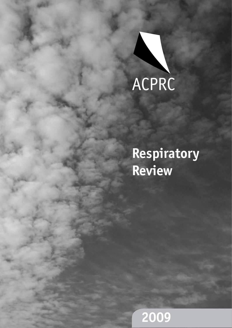

# **Respiratory Review**

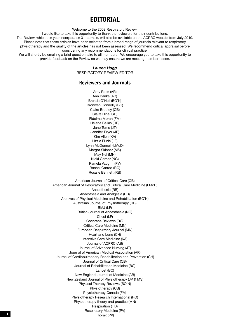### **EDITORIAL**

Welcome to the 2009 Respiratory Review.

I would like to take this opportunity to thank the reviewers for their contributions.

The Review, which this year incorporates 31 journals, will also be available on the ACPRC website from July 2010. Please note that these articles have been selected from a broad range of journals relevant to respiratory physiotherapy and the quality of the articles has not been assessed. We recommend critical appraisal before

considering any recommendations for clinical practice.

We will shortly be emailing a brief questionnaire to all members. We encourage you to take this opportunity to provide feedback on the Review so we may ensure we are meeting member needs.

#### *Lauren Hogg*

Respiratory Review Editor

#### **Reviewers and Journals**

Amy Rees (AR) Ann Banks (AB) Brenda O'Neil (BO'N) Bronwen Connolly (BC) Claire Bradley (CB) Claire Hine (CH) Fidelma Moran (FM) Helene Bellas (HB) Jane Toms (JT) Jennifer Pryor (JP) Kim Allen (KA) Lizzie Flude (LF) Lynn McDonnell (LMcD) Margot Skinner (MS) May Nel (MN) Nicki Garner (NG) Pamela Vaughn (PV) Rachel Garrod (RG) Rosalie Bennett (RB)

American Journal of Critical Care (CB) American Journal of Respiratory and Critical Care Medicine (LMcD) Anaesthesia (RB) Anaesthesia and Analgesia (RB) Archives of Physical Medicine and Rehabilitation (BO'N) Australian Journal of Physiotherapy (HB) BMJ (LF) British Journal of Anaesthesia (NG) Chest (LF) Cochrane Reviews (RG) Critical Care Medicine (MN) European Respiratory Journal (MN) Heart and Lung (CH) Intensive Care Medicine (KA) Journal of ACPRC (AB) Journal of Advanced Nursing (JT) Journal of American Medical Association (AR) Journal of Cardiopulmonary Rehabilitation and Prevention (CH) Journal of Critical Care (CB) Journal of Rehabilitation Medicine (BC) Lancet (BC) New England Journal of Medicine (AB) New Zealand Journal of Physiotherapy (JP & MS) Physical Therapy Reviews (BO'N) Physiotherapy (CB) Physiotherapy Canada (FM) Physiotherapy Research International (RG) Physiotherapy theory and practice (MN) Respiration (HB) Respiratory Medicine (PV) **11** Thorax (PV)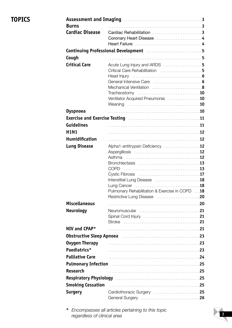# **Topics**

| <b>Burns</b>                                                                      |                                                              |  |
|-----------------------------------------------------------------------------------|--------------------------------------------------------------|--|
| <b>Cardiac Disease</b>                                                            |                                                              |  |
|                                                                                   |                                                              |  |
|                                                                                   |                                                              |  |
| Continuing Professional Development [111] Continuing the Second Level of Arthur S |                                                              |  |
| Cough                                                                             |                                                              |  |
| <b>Critical Care</b>                                                              | Acute Lung Injury and ARDS 5                                 |  |
|                                                                                   | Critical Care Rehabilitation  5                              |  |
|                                                                                   |                                                              |  |
|                                                                                   |                                                              |  |
|                                                                                   |                                                              |  |
|                                                                                   | Ventilator Acquired Pneumonia 10                             |  |
|                                                                                   |                                                              |  |
| <b>Dyspnoea</b>                                                                   |                                                              |  |
|                                                                                   | Exercise and Exercise Testing [10] Marshall March 21 (11) 11 |  |
| <b>Guidelines</b>                                                                 |                                                              |  |
| <b>H1N1</b>                                                                       |                                                              |  |
| <b>Humidification</b>                                                             |                                                              |  |
|                                                                                   | Alpha1-antitrypsin Deficiency 12                             |  |
| <b>Lung Disease</b>                                                               |                                                              |  |
|                                                                                   | Asthma                                                       |  |
|                                                                                   |                                                              |  |
|                                                                                   | <b>COPD</b>                                                  |  |
|                                                                                   |                                                              |  |
|                                                                                   |                                                              |  |
|                                                                                   | Pulmonary Rehabilitation & Exercise in COPD 18               |  |
|                                                                                   |                                                              |  |
| <b>Miscellaneous</b>                                                              |                                                              |  |
| <b>Neurology</b>                                                                  |                                                              |  |
|                                                                                   |                                                              |  |
|                                                                                   |                                                              |  |
| NIV and CPAP*                                                                     |                                                              |  |
| Obstructive Sleep Apnoea manufacture contracto and 23                             |                                                              |  |
| <b>Oxygen Therapy</b>                                                             |                                                              |  |
| Paediatrics*                                                                      |                                                              |  |
| <b>Palliative Care</b>                                                            |                                                              |  |
|                                                                                   |                                                              |  |
| <b>Research</b>                                                                   |                                                              |  |
|                                                                                   |                                                              |  |
|                                                                                   | Respiratory Physiology Manual Communications 25              |  |
| <b>Smoking Cessation</b>                                                          |                                                              |  |
| <b>Surgery</b>                                                                    | Cardiothoracic Surgery 25                                    |  |
|                                                                                   |                                                              |  |

**\*** *Encompasses all articles pertaining to this topic regardless of clinical area*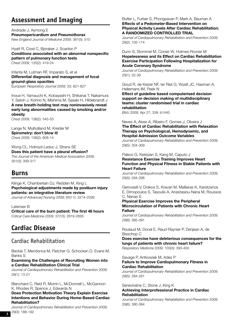# **Assessment and Imaging**

Andrade J, Aymong E **Pneumopericardium and Pneumothorax** *New England Journal of Medicine 2009;* 361(5): 510

Hyatt R, Cowl C, Bjoraker J, Scanlon P **Conditions associated with an abnormal nonspecific pattern of pulmonary function tests**  *Chest 2009;* 135(2): 419-24

Infante M, Lutman RF, Imparato S, et al **Differential diagnosis and management of focal ground-glass opacities**  E*uropean Respiratory Journal 2009;* 33: 821-827

Inoue H, Yamauchi K, Kobayashi H, Shikanai T, Nakamura Y, Satoh J, Kohno N, Mishima M, Sasaki H, Hildebrandt J **A new breath-holding test may noninvasively reveal early lung abnormalities caused by smoking and/or obesity**

*Chest 2009;* 136(2): 545-53

Lange N, Mulholland M, Kreider M **Spirometry: don't blow it!**  *Chest 2009;* 136(2): 608-14

Wong CL, Holroyd-Leduc J, Strans SE **Does this patient have a pleural effusion?** *The Journal of the American Medical Association 2009;* 301(3): 309-317

### **Burns**

Klinge K, Chamberlain DJ, Redden M, King L **Psychological adjustments made by postburn injury patients: an integrative literature review**

*Journal of Advanced Nursing 2009;* 65(11): 2274–2292

Latenser B **Critical care of the burn patient: The first 48 hours** *Critical Care Medicine 2009;* 37(10): 2819-2826

# **Cardiac Disease**

### Cardiac Rehabilitation

Beckie T, Mendonca M, Fletcher G, Schocken D, Evans M, Banks S

#### **Examining the Challenges of Recruiting Women into a Cardiac Rehabilitation Clinical Trial**

*Journal of Cardiopulmonary Rehabilitation and Prevention 2009;* 29(1): 13-21

Blanchard C, Reid R, Morrin L, McDonnell L, McGannon K, Rhodes R, Spence J, Edwards N

**Does Protection Motivation Theory Explain Exercise Intentions and Behavior During Home-Based Cardiac Rehabilitation?** 

*Journal of Cardiopulmonary Rehabilitation and Prevention 2009;* 29(3): 188-192

#### Butler L, Furber S, Phongsavan P, Mark A, Bauman A **Effects of a Pedometer-Based Intervention on Physical Activity Levels After Cardiac Rehabilitation: A RANDOMIZED CONTROLLED TRIAL**

*Journal of Cardiopulmonary Rehabilitation and Prevention 2009;* 29(2): 105-114

#### Dunn S, Stommel M, Corser W, Holmes-Rovner M **Hopelessness and its Effect on Cardiac Rehabilitation Exercise Participation Following Hospitalization for Acute Coronary Syndrome**

*Journal of Cardiopulmonary Rehabilitation and Prevention 2009;* 29(1): 32-39

Goud R, de Keizer NF, ter Riet G, Wyatt JC, Hasman A, Hellemans IM, Peek N

**Effect of guideline based computerised decision support on decision making of multidisciplinary teams: cluster randomised trial in cardiac rehabilitation** 

*BMJ 2009;* Apr 27; 338: b1440

#### Neves A, Alves A, Ribeiro F, Gomes J, Oliveira J **The Effect of Cardiac Rehabilitation with Relaxation Therapy on Psychological, Hemodynamic, and Hospital Admission Outcome Variables**

*Journal of Cardiopulmonary Rehabilitation and Prevention 2009;* 29(5): 304-309

Palevo G, Keteyian S, Kang M, Caputo J

#### **Resistance Exercise Training Improves Heart Function and Physical Fitness in Stable Patients with Heart Failure**

*Journal of Cardiopulmonary Rehabilitation and Prevention 2009;* 29(5): 294-298

Gerovasili V, Drakos S, Kravari M, Malliaras K, Karatzanos E, Dimopoulos S, Tasoulis A, Anastasiou-Nana M, Roussos C, Nanas S

#### **Physical Exercise Improves the Peripheral Microcirculation of Patients with Chronic Heart Failure**

*Journal of Cardiopulmonary Rehabilitation and Prevention 2009;* 29(6): 385-391

Roulaud M, Donal E, Raud-Raynier P, Denjean A, de Bisschop C

**Does exercise have deleterious consequences for the lungs of patients with chronic heart failure?** *Respiratory Medicine 2009;* 103(3): 393-400

Savage P, Antkowiak M, Ades P

#### **Failure to Improve Cardiopulmonary Fitness in Cardiac Rehabilitation**

*Journal of Cardiopulmonary Rehabilitation and Prevention 2009;* 29(5): 284-291

Seneviratne C, Stone J, King K

#### **Achieving Interprofessional Practice in Cardiac Rehabilitation**

*Journal of Cardiopulmonary Rehabilitation and Prevention 2009;* 29(6): 380-384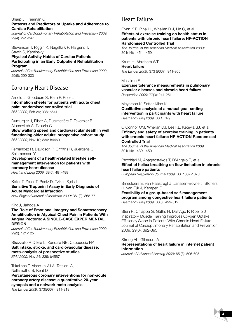#### Sharp J, Freeman C **Patterns and Predictors of Uptake and Adherence to Cardiac Rehabilitation**

*Journal of Cardiopulmonary Rehabilitation and Prevention 2009;* 29(4): 241-247

Stevenson T, Riggin K, Nagelkirk P, Hargens T, Strath S, Kaminsky L

#### **Physical Activity Habits of Cardiac Patients Participating in an Early Outpatient Rehabilitation Program**

*Journal of Cardiopulmonary Rehabilitation and Prevention 2009;* 29(5): 299-303

### Coronary Heart Disease

Arnold J, Goodacre S, Bath P, Price J

**Information sheets for patients with acute chest pain: randomised controlled trial** *BMJ 2009;* Feb 26; 338: b541

Dumurgier J, Elbaz A, Ducimetière P, Tavernier B, Alpérovitch A, Tzourio C **Slow walking speed and cardiovascular death in well functioning older adults: prospective cohort study**

*BMJ 2009;* Nov 10; 339: b4460

Fernandez R, Davidson P, Griffiths R, Juergens C, Salamonson Y

**Development of a health-related lifestyle selfmanagement intervention for patients with coronary heart disease** *Heart and Lung 2009;* 38(6): 491-498

Keller T, Zeller T, Peetz D, Tzikas S,et al **Sensitive Troponin I Assay in Early Diagnosis of Acute Myocardial Infarction**

*New England Journal of Medicine 2009;* 361(9): 868-77

#### Kirk J, Jahoda A

**The Role of Emotional Imagery and Somatosensory Amplification in Atypical Chest Pain in Patients With Angina Pectoris: A SINGLE-CASE EXPERIMENTAL DESIGN**

*Journal of Cardiopulmonary Rehabilitation and Prevention 2009;*  29(2): 121-125

Strazzullo P, D'Elia L, Kandala NB, Cappuccio FP **Salt intake, stroke, and cardiovascular disease: meta-analysis of prospective studies** *BMJ 2009;* Nov 24; 339: b4567

Trikalinos T, Alsheikh-Ali A, Tatsioni A, Nallamothu B, Kent D **Percutaneous coronary interventions for non-acute coronary artery disease: a quantitative 20-year synopsis and a network meta-analysis**

*The Lancet 2009;* 373(9667): 911-918

### Heart Failure

#### Flynn K E, Pina I L, Whellan D J, Lin C, et al **Effects of exercise training on health status in patients with chronic heart failure: HF-ACTION Randomised Controlled Trial**

*The Journal of the American Medical Association 2009;* 301(14): 1451-1459

Krum H, Abraham WT **Heart failure**  *The Lancet 2009;* 373 (9667): 941-955

Massimo F

**Exercise tolerance measurements in pulmonary vascular diseases and chronic heart failure** *Respiration 2009;* 77(3): 241-251

Meyerson K, Setter Kline K

**Qualitative analysis of a mutual goal-setting intervention in participants with heart failure** *Heart and Lung 2009;* 38(1): 1-9

O'Connor CM, Whellan DJ, Lee KL, Keteyia SJ, et al **Efficacy and safety of exercise training in patients with chronic heart failure: HF-ACTION Randomised Controlled Trial**

*The Journal of the American Medical Association 2009;* 301(14): 1439-1450

#### Pecchiari M, Anagnostakos T, D'Angelo E, et al **Effect of heliox breathing on flow limitation in chronic heart failure patients**

*European Respiratory Journal 2009;* 33: 1367-1373

Smeulders E, van Haastregt J, Janssen-Boyne J, Stoffers H, van Eijk J, Kempen G

**Feasibility of a group-based self-management program among congestive heart failure patients** *Heart and Lung 2009;* 38(6): 499-512

Stein R, Chiappa G, Güths H, Dall'Ago P, Ribeiro J Inspiratory Muscle Training Improves Oxygen Uptake Efficiency Slope in Patients With Chronic Heart Failure Journal of Cardiopulmonary Rehabilitation and Prevention 2009; 29(6): 392-395

#### Strong AL, Gilmour JA

#### **Representations of heart failure in internet patient information**

*Journal of Advanced Nursing 2009;* 65 (3): 596-605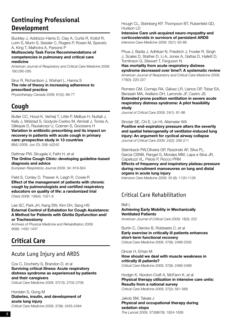# **Continuing Professional Development**

Buckley J, Addrizzo-Harris D, Clay A, Curtis R, Kotlof R, Lorin S, Murin S, Sessler C, Rogers P, Rosen M, Spevetz A, King T, Malhotra A, Parsons P

#### **Multisociety Task Force Recommendations of competencies in pulmonary and critical care medicine**

*American Journal of Respiratory and Critical Care Medicine 2009;* 180:290-295

#### Sirur R, Richardson J, Wishart L, Hanna S **The role of theory in increasing adherence to prescribed practice**

*Physiotherapy Canada 2009;* 61(2): 68-77

# **Cough**

Butler CC, Hood K, Verheij T, Little P, Melbye H, Nuttall J, Kelly J, Mölstad S, Godycki-Cwirko M, Almirall J, Torres A, Gillespie D, Rautakorpi U, Coenen S, Goossens H **Variation in antibiotic prescribing and its impact on recovery in patients with acute cough in primary care: prospective study in 13 countries** *BMJ 2009;* Jun 23; 338: b2242

#### Dettmar PW, Strugala V, Fathi H, et al

**The Online Cough Clinic: developing guideline-based diagnosis and advice**

*European Respiratory Journal 2009;* 34: 819-824

#### Field S, Conley D, Thawer A, Leigh R, Cowie R

**Effect of the management of patients with chronic cough by pulmonologists and certified respiratory educators on quality of life: a randomized trial**  *Chest 2009;* 136(4): 1021-8

Lee SC, Park JH, Kang SW, Kim DH, Sang HS

**External Control of Exhalation for Cough Assistance: A Method for Patients with Glottis Dysfunction and/ or Tracheostomy** 

*Archives of Physical Medicine and Rehabilitation 2009;* 90(8): 1402-1407

# **Critical Care**

### Acute Lung Injury and ARDS

Cox C, Docherty S, Brandon D, et al **Surviving critical illness: Acute respiratory distress syndrome as experienced by patients and their caregivers**

*Critical Care Medicine 2009;* 37(10): 2702-2708

#### Honiden S, Gong M **Diabetes, insulin, and development of acute lung injury**  *Critical Care Medicine 2009;* 37(8): 2455-2464

Hough CL, Steinberg KP, Thompson BT, Rubenfeld GD, Hudson LD

**Intensive Care unit-acquired neuro-myopathy and corticosteroids in survivors of persistent ARDS** *Intensive Care Medicine 2009;* 35(1): 63-68

Phua J, Badia J, Adhikari N, Friedrich J, Fowler R, Singh J, Scales D, Stather D, Li A, Jones A, Gattas D, Hallett D, Tomlinson G, Stewart T, Ferguson N

**Has mortality from acute respiratory distress syndrome decreased over time?: A systematic review** *American Journal of Respiratory and Critical Care Medicine 2009;*  179(3): 220-227

Romero CM, Cornejo RA, Gálvez LR, Llanos OP, Tobar EA, Berasaín MA, Arellano DH, Larrondo JF, Castro JS **Extended prone position ventilation in severe acute respiratory distress syndrome: A pilot feasibility study**

*Journal of Critical Care 2009;* 24(1): 81-88

Sinclair SE, Chi E, Lin HI, Altemeier WA

**Positive end-expiratory pressure alters the severity and spatial heterogeneity of ventilator-induced lung injury: An argument for cyclical airway collapse** *Journal of Critical Care 2009;* 24(2): 206-211

Steimback PW,Oliveira GP, Rzezinski AF, Silva PL, Garcia CSNB, Rangel G, Morales MM, Lapa e Silva JR, Capelozzi VL, Pelosi P, Rocco PRM

#### **Effects of frequency and inspiratory plateau pressure during recruitment manoeuvres on lung and distal organs in acute lung injury**

*Intensive Care Medicine 2009;* 35 (6): 1120-1128

### Critical Care Rehabilitation

Bell L

**Achieving Early Mobility in Mechanically Ventilated Patients** *American Journal of Critical Care 2009;* 18(3): 222

Burtin C, Clerckx B, Robbeets C, et al

**Early exercise in critically ill patients enhances short-term functional recovery** *Critical Care Medicine 2009;* 37(9): 2499-2505

Dincer H, Erhan M **How should we deal with muscle weakness in critically ill patients?** *Critical Care Medicine 2009;* 37(9): 2468-2469

Hodgin K, Nordon-Craft A, McFann K, et al **Physical therapy utilization in intensive care units: Results from a national survey** *Critical Care Medicine 2009;* 37(2): 561-568

Jakob SM, Takala J **Physical and occupational therapy during sedation stops** *The Lancet 2009;* 373(9678): 1824-1826 **<sup>51</sup>**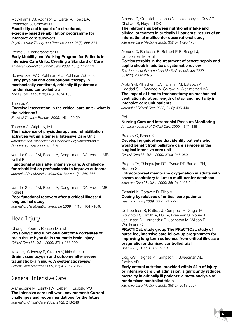McWilliams DJ, Atkinson D, Carter A, Foex BA, Benington S, Conway DH **Feasibility and impact of a structured, exercise-based rehabilitation programme for intensive care survivors**

*Physiotherapy Theory and Practice 2009;* 25(8): 566-571

Perme C, Chandrashekar R

**Early Mobility and Walking Program for Patients in Intensive Care Units: Creating a Standard of Care** *American Journal of Critical Care 2009;* 18(3): 212-221

Schweickert WD, Pohlman MC, Pohlman AS, et al **Early physical and occupational therapy in mechanically ventilated, critically ill patients: a randomised controlled trial** 

*The Lancet 2009;* 373(9678): 1874-1882

#### Thomas A

**Exercise intervention in the critical care unit - what is the evidence?**

*Physical Therapy Reviews 2009;* 14(1): 50-59

Thomas A, Wright K, Mill L

**The incidence of physiotherapy and rehabilitation activities within a general Intensive Care Unit**

*Journal of the Association of Chartered Physiotherapists in Respiratory care 2009;* 41: 3-8

van der Schaaf M, Beelen A, Dongelmans DA, Vroom, MB, Nollet F

**Functional status after intensive care: A challenge for rehabilitation professionals to improve outcome** *Journal of Rehabilitation Medicine 2009;* 41(5): 360-366

van der Schaaf M, Beelen A, Dongelmans DA, Vroom MB, Nollet F

#### **Poor functional recovery after a critical illness: A longitudinal study**

*Journal of Rehabilitation Medicine 2009;* 41(13): 1041-1048

### Head Injury

Chang J, Youn T, Benson D et al **Physiologic and functional outcome correlates of brain tissue hypoxia in traumatic brain injury** *Critical Care Medicine 2009;* 37(1): 283-290

Maloney-Wilensky E, Gracias V, Itkin A, et al **Brain tissue oxygen and outcome after severe traumatic brain injury: A systematic review** *Critical Care Medicine 2009;* 37(6): 2057-2063

### General Intensive Care

Alameddine M, Dainty KN, Deber R, Sibbald WJ **The intensive care unit work environment: Current challenges and recommendations for the future** *Journal of Critical Care 2009;* 24(2): 243-248

Alberda C, Gramlich L, Jones N, Jeejeebhoy K, Day AG, Dhaliwal R, Heyland DK

**The relationship between nutritional intake and clinical outcomes in critically ill patients: results of an international multicenter observational study** *Intensive Care Medicine 2009;* 35(10): 1728-1737

Annane D, Bellissant E, Bollaert P-E, Briegel J, Confalonieri M, et al

**Corticosteroids in the treatment of severe sepsis and septic shock in adults: a systematic review** 

*The Journal of the American Medical Association 2009;* 301(22): 2362-2375

Arabi YM, Alhashemi JA, Tamim HM, Esteban A, Haddad SH, Dawood A, Shirawi N, Alshimemeri AA **The impact of time to tracheostomy on mechanical ventilation duration, length of stay, and mortality in intensive care unit patients**

*Journal of Critical Care 2009;* 24(3): 435-440

#### Bell L

**Nursing Care and Intracranial Pressure Monitoring** *American Journal of Critical Care 2009;* 18(4): 338

#### Bradley C, Brasel K

**Developing guidelines that identify patients who would benefit from palliative care services in the surgical intensive care unit**

*Critical Care Medicine 2009;* 37(3): 946-950

Brogan TV, Thiagarajan RR, Rycus PT, Bartlett RH, Bratton SL

**Extracorporeal membrane oxygenation in adults with severe respiratory failure: a multi-center database** *Intensive Care Medicine 2009;* 35(12): 2105-2114

#### Casarini K, Gorayeb R, Filho A

**Coping by relatives of critical care patients** *Heart and Lung 2009;* 38(2): 217-227

Cuthbertson B, Rattray J, Campbell M, Gager M, Roughton S, Smith A, Hull A, Breeman S, Norrie J, Jenkinson D, Hernández R, Johnston M, Wilson E, Waldmann C

**PRaCTICaL study group The PRaCTICaL study of nurse led, intensive care follow-up programmes for improving long term outcomes from critical illness: a pragmatic randomised controlled trial**

*BMJ 2009;* Oct 16; 339: b3723

Doig GS, Heighes PT, Simpson F, Sweetman AE, Davies AR

**Early enteral nutrition, provided within 24 h of injury or intensive care unit admission, significantly reduces mortality in critically ill patients: a meta-analysis of randomised controlled trials** 

*Intensive Care Medicine 2009;* 35(12): 2018-2027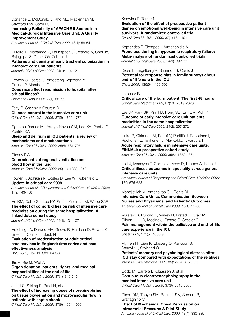Donahoe L, McDonald E, Kho ME, Maclennan M, Stratford PW, Cook DJ **Increasing Reliability of APACHE II Scores in a Medical-Surgical Intensive Care Unit: A Quality Improvement Study**

*American Journal of Critical Care 2009;* 18(1): 58-64

Durairaj L, Mohamad Z, Launspach JL, Ashare A, Choi JY, Rajagopal S, Doern GV, Zabner J

**Patterns and density of early tracheal colonization in intensive care unit patients** *Journal of Critical Care 2009;* 24(1): 114-121

Epstein C, Tsaras G, Amoateng-Adjepong Y, Greiner P, Manthous C **Does race affect readmission to hospital after critical illness?**

*Heart and Lung 2009;* 38(1): 66-76

Fahy B, Sheehy A Coursin D **Glucose control in the intensive care unit** *Critical Care Medicine 2009;* 37(5): 1769-1776

Figueroa-Ramos MI, Arroyo-Novoa CM, Lee KA, Padilla G, Puntillo KA

**Sleep and delirium in ICU patients: a review of mechanisms and manifestations** 

*Intensive Care Medicine 2009;* 35(5): 781-795

Glenny RW **Determinants of regional ventilation and blood flow in the lung** *Intensive Care Medicine 2009;* 35(11): 1833-1842

Fowler R, Adhikari N, Scales D, Lee W, Rubenfeld G **Update in critical care 2008**

*American Journal of Respiratory and Critical Care Medicine 2009;* 179: 743-758

Ho KM, Dobb GJ, Lee KY, Finn J, Knuiman M, Webb SAR **The effect of comorbidities on risk of intensive care readmission during the same hospitalization: A linked data cohort study**

*Journal of Critical Care 2009;* 24(1): 101-107

Hutchings A, Durand MA, Grieve R, Harrison D, Rowan K, Green J, Cairns J, Black N

**Evaluation of modernisation of adult critical care services in England: time series and cost effectiveness analysis**  *BMJ 2009;* Nov 11; 339: b4353

Iltis A, Rie M, Wall A **Organ donation, patients' rights, and medical responsibilities at the end of life** *Critical Care Medicine 2009;* 37(1): 310-315

Jhanji S, Stirling S, Patel N, et al

**The effect of increasing doses of norepinephrine on tissue oxygenation and microvascular flow in patients with septic shock**

*Critical Care Medicine 2009;* 37(6): 1961-1966

Knowles R, Tarrier N **Evaluation of the effect of prospective patient diaries on emotional well-being in intensive care unit survivors: A randomized controlled trial** *Critical Care Medicine 2009;* 37(1):184–191

Kopterides P, Siempos I, Armaganidis A **Prone positioning in hypoxemic respiratory failure: Meta-analysis of randomized controlled trials** *Journal of Critical Care 2009;* 24(1): 89-100

Kross E, Engelberg R, Shannon S, Curtis J **Potential for response bias in family surveys about end-of-life care in the ICU** *Chest 2009;* 136(6): 1496-502

Latenser B

**Critical care of the burn patient: The first 48 hours** *Critical Care Medicine 2009;* 37(10): 2819-2826

Lee JY, Park SK, Kim HJ, Hong SB, Lim CM, Koh Y **Outcome of early intensive care unit patients readmitted in the same hospitalization** *Journal of Critical Care 2009;* 24(2): 267-272

Linko R, Okkonen M, Pettilä V, Perttilä J, Parviainen I, Ruokonen E, Tenhunen J, Ala-Kokko T, Varpula T **Acute respiratory failure in intensive care units. FINNALI: a prospective cohort study** *Intensive Care Medicine 2009;* 35(8): 1352-1361

Lott J, Iwashyna T, Christie J, Asch D, Kramer A, Kahn J **Critical illness outcomes in speciality versus general intensive care units**

*American Journal of Respiratory and Critical Care Medicine 2009;* 179: 676-683

Manojlovich M, Antonakos CL, Ronis DL **Intensive Care Units, Communication Between Nurses and Physicians, and Patients' Outcomes** *American Journal of Critical Care 2009;* 18(1): 21-30

Mularski R, Puntillo K, Varkey B, Erstad B, Grap M, Gilbert H, Li D, Medina J, Pasero C, Sessler C **Pain management within the palliative and end-of-life care experience in the ICU** *Chest 2009;* 135(5): 1360-9

Myhren H,Tøien K, Ekeberg O, Karlsson S, Sandvik L, Stokland O **Patients' memory and psychological distress after ICU stay compared with expectations of the relatives** *Intensive Care Medicine 2009;* 35(12): 2078-2086

Oddo M, Carrera E, Claassen J, et al **Continuous electroencephalography in the medical intensive care unit** *Critical Care Medicine 2009;* 37(6): 2015-2056

Olson DM, Thoyre SM, Bennett SN, Stoner JB, Graffagnino C

**Effect of Mechanical Chest Percussion on Intracranial Pressure: A Pilot Study**

**71** *American Journal of Critical Care 2009;* 18(4): 330-335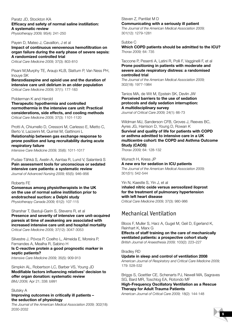Paratz JD, Stockton KA **Efficacy and safety of normal saline instillation: A systematic review**

*Physiotherapy 2009;* 95(4): 241-250

#### Payen D, Mateo J, Cavaillon, J et al

**Impact of continuous venovenous hemofiltration on organ failure during the early phase of severe sepsis: A randomized controlled trial**

*Critical Care Medicine 2009;* 37(3): 803-810

Pisani M,Murphy TE, Araujo KLB, Slattum P, Van Ness PH, Inouye SK

**Benzodiazepine and opioid use and the duration of intensive care unit delirium in an older population** *Critical Care Medicine 2009;* 37(1): 177-183

Polderman K and Herold

**Therapeutic hypothermia and controlled normothermia in the intensive care unit: Practical considerations, side effects, and cooling methods** *Critical Care Medicine 2009;* 37(3): 1101-1120

Protti A, Chiumello D, Cressoni M, Carlesso E, Mietto C, Berto V, Lazzerini M, Quintel M, Gattinoni L

**Relationship between gas exchange response to prone position and lung recruitability during acute respiratory failure**

*Intensive Care Medicine 2009;* 35(6): 1011-1017

Pudas-Tähkä S, Axelin A, Aantaa R, Lund V, Salanterä S **Pain assessment tools for unconscious or sedated intensive care patients: a systematic review** *Journal of Advanced Nursing 2009;* 65(5): 946–956

#### Roberts FE

**Consensus among physiotherapists in the UK on the use of normal saline instillation prior to endotracheal suction: a Delphi study** *Physiotherapy Canada 2009;* 61(2): 107-115

Sharshar T, Bastuji-Garin S, Stevens R, et al **Presence and severity of intensive care unit-acquired paresis at time of awakening are associated with increased intensive care unit and hospital mortality** *Critical Care Medicine 2009;* 37(12): 3047-3053

Silvestre J, Póvoa P, Coelho L, Almeida E, Moreira P, Fernandes A, Mealha R, Sabino H **Is C-reactive protein a good prognostic marker in septic patients?**

*Intensive Care Medicine 2009;* 35(5): 909-913

Simpkin AL, Robertson LC, Barber VS, Young JD **Modifiable factors influencing relatives' decision to offer organ donation: systematic review**  *BMJ 2009;* Apr 21; 338: b991

#### Slutsky A

#### **Improving outcomes in critically ill patients – the seduction of physiology**

*The Journal of the American Medical Association 2009;* 302(18): 2030-2032

Steven Z, Pantilat M D **Communicating with a seriously ill patient**

*The Journal of the American Medical Association 2009;*  301(12): 1279-1281

#### Subbe C

**Which COPD patients should be admitted to the ICU?** *Thorax 2009;* 64: 735

Taccone P, Pesenti A, Latini R, Polli F, Vagginelli F, et al **Prone positioning in patients with moderate and severe acute respiratory distress: a randomised controlled trial**

*The Journal of the American Medical Association 2009;*  302(18): 1977-1984

Tanios MA, de Wit M, Epstein SK, Devlin JW **Perceived barriers to the use of sedation protocols and daily sedation interruption: A multidisciplinary survey** *Journal of Critical Care 2009;* 24(1): 66-73

Wildman MJ, Sanderson CFB, Groves J, Reeves BC, Ayres JG, Harrison D, Young D, Rowan K **Survival and quality of life for patients with COPD or asthma admitted to intensive care in a UK multicentre cohort: the COPD and Asthma Outcome Study (CAOS)**

*Thorax 2009;* 64: 128-132

Wunsch H, Kress JP **A new era for sedation in ICU patients**  *The Journal of the American Medical Association 2009;*  301(51): 542-544

Yin N, Kaestle S, Yin J, et al I**nhaled nitric oxide versus aerosolized iloprost for the treatment of pulmonary hypertension with left heart disease**

*Critical Care Medicine 2009;* 37(3): 980-986

### Mechanical Ventilation

Bloos F, Muller S, Harz A, Gugel M, Geil D, Egerland K, Reinhart K, Marx G **Effects of staff training on the care of mechanically ventilated patients: a prospective cohort study**  *British Journal of Anaesthesia 2009;* 103(2): 223–227

#### Bradley RD

**Update in sleep and control of ventilation 2008**

*American Journal of Respiratory and Critical Care Medicine 2009;* 179: 528-532

Briggs S, Goettler CE, Schenarts PJ, Newell MA, Sagraves SG, Bard MR, Toschlog EA, Rotondo MF

**High-Frequency Oscillatory Ventilation as a Rescue Therapy for Adult Trauma Patients**

*American Journal of Critical Care 2009;* 18(2): 144-148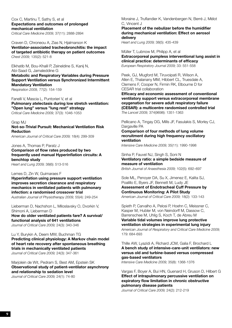Cox C, Martinu T, Sathy S, et al **Expectations and outcomes of prolonged mechanical ventilation**

*Critical Care Medicine 2009;* 37(11): 2888-2894

Craven D, Chroneou A, Zias N, Hjalmarson K **Ventilator-associated tracheobronchitis: the impact of targeted antibiotic therapy on patient outcomes** *Chest 2009;* 135(2): 521-8

Elkhatib M, Bou-Khalil P, Zeineldine S, Kanij N, Abi-Saad G, Jamaleddine G **Metabolic and Respiratory Variables during Pressure Support Ventilation versus Synchronized Intermittent Mandatory Ventilation**

*Respiration 2009,* 77(2): 154-159

Fanelli V, Mascia L, Puntorieri V, et al **Pulmonary atelectasis during low stretch ventilation: "Open lung" versus "lung rest" strategy** *Critical Care Medicine 2009;* 37(3): 1046-1053

Grap MJ

**Not-so-Trivial Pursuit: Mechanical Ventilation Risk Reduction**

*American Journal of Critical Care 2009;* 18(4): 299-309

Jones A, Thomas P, Paratz J **Comparison of flow rates produced by two frequently used manual Hyperinflation circuits: A benchtop study** 

*Heart and Lung 2009;* 38(6): 513-516

Lemes D, Zin W, Guimaraes F

**Hyperinflation using pressure support ventilation improves secretion clearance and respiratory mechanics in ventilated patients with pulmonary infection: a randomised crossover trial**

*Australian Journal of Physiotherapy 2009;* 55(4): 249-254

Lieberman D, Nachshon L, Miloslavsky O, Dvorkin V, Shimoni A, Lieberman D

**How do older ventilated patients fare? A survival/ functional analysis of 641 ventilations** *Journal of Critical Care 2009;* 24(3): 340-346

Lu Y, Burykin A, Deem MW, Buchman TG **Predicting clinical physiology: A Markov chain model of heart rate recovery after spontaneous breathing trials in mechanically ventilated patients** *Journal of Critical Care 2009;* 24(3): 347-361

Marjolein de Wit, Pedram S, Best AM, Epstein SK **Observational study of patient-ventilator asynchrony and relationship to sedation level** *Journal of Critical Care 2009;* 24(1): 74-80

Moraine J, Truflandier K, Vandenbergen N, Berré J, Mélot C, Vincent J

**Placement of the nebulizer before the humidifier during mechanical ventilation: Effect on aerosol delivery**

*Heart and Lung 2009;* 38(5): 435-439

Müller T, Lubnow M, Philipp A, et al **Extracorporeal pumpless interventional lung assist in clinical practice: determinants of efficacy**  *European Respiratory Journal 2009;* 33: 551-558

Peek, GJ, Mugford M, Tiruvoipati R, Wilson A, Allen E, Thalanany MM, Hibbert CL, Truesdale A, Clemens F, Cooper N, Firmin RK, Elbourne D for CESAR trial collaboration

**Efficacy and economic assessment of conventional ventilatory support versus extracorporeal membrane oxygenation for severe adult respiratory failure (CESAR): a multicentre randomised controlled trial**  *The Lancet 2009;* 374(9698): 1351-1363

Pellicano A, Tingay DG, Mills JF, Fasulakis S, Morley CJ, Dargaville PA

**Comparison of four methods of lung volume recruitment during high frequency oscillatory ventilation** 

*Intensive Care Medicine 2009;* 35(11): 1990-1998

Sinha P, Fauvel NJ, Singh S, Soni N **Ventilatory ratio: a simple bedside measure of measure of ventilation** 

*British Journal of Anaesthesia 2009;* 102(5): 692–697

Sole ML, Penoyer DA, Su X, Jimenez E, Kalita SJ, Poalillo E, Byers JF, Bennett M, Ludy JE **Assessment of Endotracheal Cuff Pressure by Continuous Monitoring: A Pilot Study**  *American Journal of Critical Care 2009;* 18(2): 133-143

Spieth P, Carvalho A, Pelosi P, Hoehn C, Meissner C, Kasper M, Hubler M, von Neindorff M, Dassow C, Barrenschee M, Uhlig S, Koch T, de Abreu M **Variable tidal volumes improve lung protective** 

**ventilation strategies in experimental lung injury** *American Journal of Respiratory and Critical Care Medicine 2009;*  179: 684-693

Thille AW, Lyazidi A, Richard JCM, Galia F, Brochard L **A bench study of intensive-care-unit ventilators: new versus old and turbine-based versus compressed gas-based ventilators** 

*Intensive Care Medicine 2009;* 35(8): 1368-1376

Vargas F, Boyer A, Bui HN, Guenard H, Gruson D, Hilbert G **Effect of intrapulmonary percussive ventilation on expiratory flow limitation in chronic obstructive pulmonary disease patients**

*Journal of Critical Care 2009;* 24(2): 212-219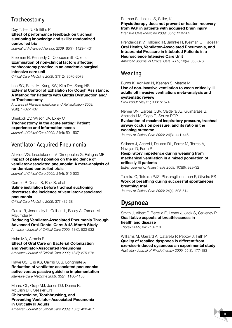### Tracheostomy

Day T, Iles N, Griffiths P **Effect of performance feedback on tracheal suctioning knowledge and skills: randomized controlled trial**

*Journal of Advanced Nursing 2009;* 65(7): 1423–1431

Freeman B, Kennedy C, Coopersmith C, et al **Examination of non-clinical factors affecting tracheostomy practice in an academic surgical intensive care unit** *Critical Care Medicine 2009;* 37(12): 3070-3078

#### Lee SC, Park JH, Kang SW, Kim DH, Sang HS **External Control of Exhalation for Cough Assistance: A Method for Patients with Glottis Dysfunction and/ or Tracheostomy**

*Archives of Physical Medicine and Rehabilitation 2009;*  90(8): 1402-1407

Sherlock ZV, Wilson JA, Exley C

**Tracheostomy in the acute setting: Patient experience and information needs** *Journal of Critical Care 2009;* 24(4): 501-507

### Ventilator Acquired Pneumonia

Alexiou VG, Ierodiakonou V, Dimopoulos G, Falagas ME **Impact of patient position on the incidence of ventilator-associated pneumonia: A meta-analysis of randomized controlled trials**

*Journal of Critical Care 2009;* 24(4): 515-522

#### Caruso P, Denari S, Ruiz S, et al **Saline instillation before tracheal suctioning decreases the incidence of ventilator-associated pneumonia**

*Critical Care Medicine 2009;* 37(1):32-38

Garcia R, Jendresky L, Colbert L, Bailey A, Zaman M, Majumder M **Reducing Ventilator-Associated Pneumonia Through Advanced Oral-Dental Care: A 48-Month Study** *American Journal of Critical Care 2009;* 18(6): 523-532

#### Halm MA, Armola R

**Effect of Oral Care on Bacterial Colonization and Ventilator-Associated Pneumonia** *American Journal of Critical Care 2009;* 18(3): 275-278

Hawe CS, Ellis KS, Cairns CJS, Longmate A **Reduction of ventilator-associated pneumonia: active versus passive guideline implementation**  *Intensive Care Medicine 2009;* 35(7): 1180-1186

Munro CL, Grap MJ, Jones DJ, Donna K. McClish DK, Sessler CN **Chlorhexidine, Toothbrushing, and Preventing Ventilator-Associated Pneumonia in Critically Ill Adults** *American Journal of Critical Care 2009;* 18(5): 428-437

Patman S, Jenkins S, Stiller, K **Physiotherapy does not prevent or hasten recovery from VAP in patients with acquired brain injury**  *Intensive Care Medicine 2009;* 35(2): 258-265

Prendergast V, Hallberg IR, Jahnke H, Kleiman C, Hagell P **Oral Health, Ventilator-Associated Pneumonia, and Intracranial Pressure in Intubated Patients in a Neuroscience Intensive Care Unit**

*American Journal of Critical Care 2009;* 18(4): 368-376

### Weaning

Burns K, Adhikari N, Keenan S, Meade M **Use of non-invasive ventilation to wean critically ill adults off invasive ventilation: meta-analysis and systematic review** 

*BMJ 2009;* May 21; 338: b1574

Nemer SN, Barbas CSV, Caldeira JB, Guimarães B, Azeredo LM, Gago R, Souza PCP

**Evaluation of maximal inspiratory pressure, tracheal airway occlusion pressure, and its ratio in the weaning outcome**

*Journal of Critical Care 2009;* 24(3): 441-446

Sellares J, Acerbi I, Dellaca RL, Ferrer M, Torres A, Navajas D, Farre R

**Respiratory impedence during weaning from mechanical ventilation in a mixed population of critically ill patients**

*British Journal of Anaesthesia 2009;* 103(6): 828–32

Teixeira C, Teixeira PJZ, Pickersgill de Leon P, Oliveira ES **Work of breathing during successful spontaneous breathing trial**

*Journal of Critical Care 2009;* 24(4): 508-514

### **Dyspnoea**

Smith J, Albert P, Bertella E, Lester J, Jack S, Calverley P **Qualitative aspects of breathlessness in health and disease** *Thorax 2009;* 64: 713-718

Williams M, Garrard A, Cafarella P, Petkov J, Frith P **Quality of recalled dyspnoea is different from exercise-induced dyspnoea: an experimental study** *Australian Journal of Physiotherapy 2009;* 55(3): 177-183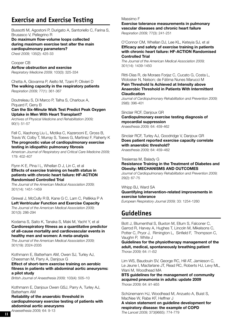# **Exercise and Exercise Testing**

Bussotti M, Agostoni P, Durigato A, Santoriello C, Farina S, Brusasco V, Pellegrino R

**Do maximum flow-volume loops collected during maximum exercise test alter the main cardiopulmonary parameters?**  *Chest 2009;* 135(2): 425-33

Cooper CB

**Airflow obstruction and exercise** *Respiratory Medicine 2009;* 103(3): 325-334

Chetta A, Giovanna P, Aielto M, Tzani P, Olivieri D **The walking capacity in the respiratory patients** *Respiration 2009;* 77(1): 361-367

Doutreleau S, Di Marco P, Talha S, Charloux A, Piquard F, Geny B **Can the Six-Minute Walk Test Predict Peak Oxygen Uptake in Men With Heart Transplant?**

*Archives of Physical Medicine and Rehabilitation 2009;* 90(1): 51-57

Fell C, Xiaohong Liu L, Motika C, Kazerooni E, Gross B, Travis W, Colby T, Murray S, Toews G, Martinez F, Flaherty K **The prognostic value of cardiopulmonary exercise testing in idiopathic pulmonary fibrosis**

*American Journal of Respiratory and Critical Care Medicine 2009;*  179: 402-407

#### Flynn K E, Pina I L, Whellan D J, Lin C, et al **Effects of exercise training on health status in patients with chronic heart failure: HF-ACTION Randomised Controlled Trial**

*The Journal of the American Medical Association 2009;* 301(14): 1451-1459

Grewal J, McCully R B, Kane G C, Lam C, Pellikka P A **Left Ventricular Function and Exercise Capacity** *The Journal of the American Medical Association 2009;*  301(3): 286-294

Kodama S, Saito K, Tanaka S, Maki M, Yacht Y, et al **Cardiorespiratory fitness as a quantitative predictor of all-cause mortality and cardiovascular events in healthy men and women: A meta-analysis**

*The Journal of the American Medical Association 2009;* 301(19): 2024-2035

Kothmann E, Batterham AM, Owen SJ, Turley AJ, Cheesman M, Parry A, Danjoux G

**Effect of short-term exercise training on aerobic fitness in patients with abdominal aortic aneurysms: a pilot study**

*British Journal of Anaesthesia 2009;* 103(4): 505–10

Kothmann E, Danjoux Owen GSJ, Parry A, Turley AJ, Batterham AM

**Reliability of the anaerobic threshold in cardiopulmonary exercise testing of patients with abdominal aortic aneurysms** 

*Anaesethesia 2009;* 64: 9-13

#### Massimo F

**Exercise tolerance measurements in pulmonary vascular diseases and chronic heart failure** *Respiration 2009;* 77(3): 241-251

O'Connor CM, Whellan DJ, Lee KL, Keteyia SJ, et al **Efficacy and safety of exercise training in patients with chronic heart failure: HF-ACTION Randomised Controlled Trial**

*The Journal of the American Medical Association 2009;* 301(14): 1439-1450

Ritti-Dias R, de Moraes Forjaz C, Cucato G, Costa L, Wolosker N, Nelson; de Fátima Nunes Marucci M **Pain Threshold Is Achieved at Intensity above Anaerobic Threshold in Patients With Intermittent Claudication** 

*Journal of Cardiopulmonary Rehabilitation and Prevention 2009;* 29(6): 396-401

Sinclair RCF, Danjoux GR

**Cardiopulmonary exercise testing diagnosis of myocardial suppression** *Anaesthesia 2009;* 64: 459-462

Sinclair RCF, Turley AJ, Goodridge V, Danjoux GR **Does patient reported exercise capacity correlate with anaerobic threshold?** *Anaesthesia 2009;* 64: 459–462

Tresierras M, Balady G

**Resistance Training in the Treatment of Diabetes and Obesity: MECHANISMS AND OUTCOMES** 

*Journal of Cardiopulmonary Rehabilitation and Prevention 2009;* 29(2): 67-75

Whipp BJ, Ward SA

**Quantifying intervention-related improvements in exercise tolerance**

*European Respiratory Journal 2009;* 33: 1254-1260

# **Guidelines**

Bott J, Blumenthal S, Buxton M, Ellum S, Falconer C, Garrod R, Harvey A, Hughes T, Lincoln M, Mikelsons C, Potter C, Pryor J, Rimington L, Sinfield F, Thompson C, Vaughn P, White J

**Guidelines for the physiotherapy management of the adult, medical, spontaneously breathing patient**  *Thorax 2009;* 64: i1-i52

Lim WS, Baudouin SV, George RC, Hill AT, Jamieson C, Le Jeune I, Macfarlane JT, Read RC, Roberts HJ, Levy ML, Wani M, Woodhead MA

**BTS guidelines for the management of community acquired pneumonia in adults: update 2009** *Thorax 2009;* 64: iii1-iii55

Schünemann HJ, Woodhead M, Anzueto A, Buist S, MacNee W, Rabe KF, Heffner J

**A vision statement on guideline development for respiratory disease: the example of COPD**

*The Lancet 2009;* 373(9665): 774-779 **111**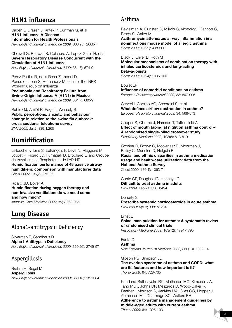# **H1N1 influenza**

Baden L, Drazen J, Kritek P, Curfman G, et al **H1N1 Influenza A Disease — Information for Health Professionals** *New England Journal of Medicine 2009;* 360(25): 2666-7

Chowell G, Bertozzi S, Colchero A, Lopez-Gatell H, et al **Severe Respiratory Disease Concurrent with the Circulation of H1N1 Influenza**

*New England Journal of Medicine 2009;* 361(7): 674-9

Perez-Padilla R, de la Rosa-Zamboni D, Ponce de Leon S, Hernandez M, et al for the INER Working Group on Influenza

**Pneumonia and Respiratory Failure from Swine-Origin Influenza A (H1N1) in Mexico** *New England Journal of Medicine 2009;* 361(7): 680-9

Rubin GJ, Amlôt R, Page L, Wessely S **Public perceptions, anxiety, and behaviour change in relation to the swine flu outbreak: cross sectional telephone survey**  *BMJ 2009;* Jul 2; 339: b2651

# **Humidification**

Lellouche F, Taillé S, Lefrançois F, Deye N, Maggiore M, Jouvet P, Ricard JD, Fumagalli B, Brochard L; and Groupe de travail sur les Respirateurs de l'AP-HP **Humidification performance of 48 passive airway humidifiers: comparison with manufacturer data**  *Chest 2009;* 135(2): 276-86

Ricard JD, Boyer A **Humidification during oxygen therapy and non-invasive ventilation: do we need some and how much?** 

*Intensive Care Medicine 2009;* 35(6):963-965

# **Lung Disease**

### Alpha1-antitrypsin Deficiency

Silverman E, Sandhaus R **Alpha1-Antitrypsin Deficiency**  *New England Journal of Medicine 2009;* 360(26): 2749-57

### Aspergillosis

Brahm H, Segal M **Aspergillosis** *New England Journal of Medicine 2009;* 360(18): 1870-84

### Asthma

Beigelman A, Gunsten S, Mikols C, Vidavsky I, Cannon C, Brody S, Walter M

**Azithromycin attenuates airway inflammation in a noninfectious mouse model of allergic asthma** *Chest 2009;* 136(2): 498-506

Black J, Oliver B, Roth M

**Molecular mechanisms of combination therapy with inhaled corticosteroids and long-acting beta-agonists** *Chest 2009;* 136(4): 1095-100

Boulet LP **Influence of comorbid conditions on asthma** *European Respiratory Journal 2009;* 33: 897-906

Cerveri I, Corsico AG, Accordini S, et al **What defines airflow obstruction in asthma?**  *European Respiratory Journal 2009;* 34: 568-573

Cooper S, Oborne J, Harrison T, Tattersfield A **Effect of mouth taping at night on asthma control – A randomised single-blind crossover study** *Respiratory Medicine 2009;* 103(6): 813-819

Crocker D, Brown C, Moolenaar R, Moorman J, Bailey C, Mannino D, Holguin F **Racial and ethnic disparities in asthma medication usage and health-care utilization: data from the National Asthma Survey** Chest 2009; 136(4): 1063-71

Currie GP, Douglas JG, Heaney LG **Difficult to treat asthma in adults**  *BMJ 2009;* Feb 24; 338: b494

Doherty S **Prescribe systemic corticosteroids in acute asthma** *BMJ 2009;* Apr 3; 338: b1234

#### Ernst E

**Spinal manipulation for asthma: A systematic review of randomised clinical trials** *Respiratory Medicine 2009;* 103(12): 1791-1795

Fanta C **Asthma** 

*New England Journal of Medicine 2009;* 360(10): 1002-14

Gibson PG, Simpson JL

**The overlap syndrome of asthma and COPD: what are its features and how important is it?**  *Thorax 2009;* 64: 728-735

Kandane-Rathnayake RK, Matheson MC, Simpson JA, Tang MLK, Johns DP, Mészáros D, Wood-Baker R, Feather I, Morrison S, Jenkins MA, Giles GG, Hopper J, Abramson MJ, Dharmage SC, Walters EH **Adherence to asthma management guidelines by middle-aged adults with current asthma** 

*Thorax 2009;* 64: 1025-1031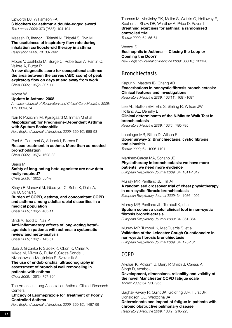Lipworth BJ, Williamson PA **ß blockers for asthma: a double-edged sword** *The Lancet 2009;* 373 (9658): 104-104

Masashi B, Ihedori I, Talashi N, Shigeki S, Ryo M **The usefulness of inspiratory flow rate during inhalation corticosteroid therapy in asthma** *Respiration 2009,* 78: 387-392

Moore V, Jaakkola M, Burge C, Robertson A, Pantin C, Vellore A, Burge P

**A new diagnostic score for occupational asthma: the area between the curves (ABC score) of peak expiratory flow on days at and away from work**  *Chest 2009;* 135(2): 307-14

Moore W

#### **Update in Asthma 2008**

*American Journal of Respiratory and Critical Care Medicine 2009;*  179: 869-874

Nair P, Pizzichini M, Kjarsgaard M, Inman M et al **Mepolizumab for Prednisone-Dependent Asthma with Sputum Eosinophilia** *New England Journal of Medicine 2009;* 360(10): 985-93

Papi A, Caramori G, Adcock I, Barnes P **Rescue treatment in asthma. More than as-needed bronchodilation** *Chest 2009;* 135(6): 1628-33

Sears M **Safety of long-acting beta-agonists: are new data really required?**  *Chest 2009;* 136(2): 604-7

Shaya F, Maneval M, Gbarayor C, Sohn K, Dalal A, Du D, Scharf S

**Burden of COPD, asthma, and concomitant COPD and asthma among adults: racial disparities in a medical population** 

*Chest 2009;* 136(2): 405-11

#### Sindi A, Todd D, Nair P

**Anti-inflammatory effects of long-acting beta2 agonists in patients with asthma: a systematic review and meta-analysis** *Chest 2009;* 136(1): 145-54

Soja J, Grzanka P, Sladek K, Okon K, Cmiel A, Mikos M, Mikrut S, Pulka G,Gross-Sondej I, Nizankowska-Mogilnicka E, Szczeklik A

#### **The use of endobronchial ultrasonography in assessment of bronchial wall remodeling in patients with asthma**

*Chest 2009;* 136(3): 797-804

The American Lung Association Asthma Clinical Research **Centers** 

**Efficacy of Esomeprazole for Treatment of Poorly Controlled Asthma** 

*New England Journal of Medicine 2009;* 360(15): 1487-99

Thomas M, McKinley RK, Mellor S, Watkin G, Holloway E, Scullion J, Shaw DE, Wardlaw A, Price D, Pavord **Breathing exercises for asthma: a randomised controlled trial** 

*Thorax 2009;* 64: 55-61

Wenzel S **Eosinophils in Asthma — Closing the Loop or Opening the Door?** *New England Journal of Medicine 2009;* 360(10): 1026-8

### Bronchiectasis

Kapur N, Masters IB, Chang AB **Exacerbations in noncystic fibrosis bronchiectasis: Clinical features and investigations**  *Respiratory Medicine 2009;* 103(11): 1681-1687

Lee AL, Button BM, Ellis S, Stirling R, Wilson JW, Holland AE, Denehy L **Clinical determinants of the 6-Minute Walk Test in bronchiectasis** *Respiratory Medicine 2009;* 103(5): 780-785

Loebinger MR, Bilton D, Wilson R **Upper airway· 2: Bronchiectasis, cystic fibrosis and sinusitis** *Thorax 2009;* 64: 1096-1101

Martínez-García MA, Soriano JB

**Physiotherapy in bronchiectasis: we have more patients, we need more evidence** *European Respiratory Journal 2009;* 34: 1011-1012

Murray MP, Pentland JL, Hill AT

**A randomised crossover trial of chest physiotherapy in non-cystic fibrosis bronchiectasis** *European Respiratory Journal 2009;* 34: 1086-1092

Murray MP, Pentland JL, Turnbull K, et al **Sputum colour: a useful clinical tool in non-cystic fibrosis bronchiectasis** *European Respiratory Journal 2009;* 34: 361-364

Murray MP, Turnbull K, MacQuarrie S, et al **Validation of the Leicester Cough Questionnaire in non-cystic fibrosis bronchiectasis** *European Respiratory Journal 2009;* 34: 125-131

### COPD

Al-shair K, Kolsum U, Berry P, Smith J, Caress A, Singh D, Vestbo J **Development, dimensions, reliability and validity of the novel Manchester COPD fatigue scale** *Thorax 2009;* 64: 950-955

Baghai-Ravary R, Quint JK, Goldring JJP, Hurst JR, Donaldson GC, Wedzicha JA **Determinants and impact of fatigue in patients with chronic obstructive pulmonary disease** *Respiratory Medicine 2009;* 103(2): 216-223 **131**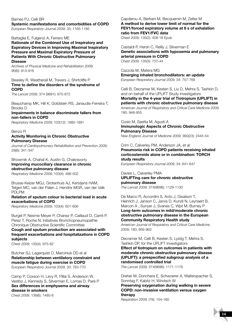#### Barnes PJ, Celli BR

**Systemic manifestations and comorbidities of COPD**  *European Respiratory Journal 2009;* 33: 1165-1185

#### Battaglia E, Fulgenzi A, Ferrero ME

**Rationale of the Combined Use of Inspiratory and Expiratory Devices in Improving Maximal Inspiratory Pressure and Maximal Expiratory Pressure of Patients With Chronic Obstructive Pulmonary Disease**

*Archives of Physical Medicine and Rehabilitation 2009;*  90(6): 913-918

#### Beasley R, Weatherall M, Travers J, Shirtcliffe P **Time to define the disorders of the syndrome of COPD**

*The Lancet 2009;* 374 (9691): 670-672

Beauchamp MK, Hill K, Goldstein RS, Janaudis-Ferreira T, Brooks D

#### **Impairments in balance discriminate fallers from non-fallers in COPD**

*Respiratory Medicine 2009;* 103(12): 1885-1891

#### Benzo R

#### **Activity Monitoring in Chronic Obstructive Pulmonary Disease**

*Journal of Cardiopulmonary Rehabilitation and Prevention 2009;* 29(6): 341-347

Bhowmik A, Chahal K, Austin G, Chakravorty **Improving mucociliary clearance in chronic obstructive pulmonary disease** *Respiratory Medicine 2009;* 103(4): 496-502

Brusse-Keizer MGJ, Grotenhuis AJ, Kerstjens HAM, Telgen MC, van der Palen J, Hendrix MGR, van der Valk PDLPM

#### **Relation of sputum colour to bacterial load in acute exacerbations of COPD**

*Respiratory Medicine 2009;* 103(4): 601-606

Burgel P, Nesme-Meyer P, Chanez P, Caillaud D, Carré P, Perez T, Roche N; Initiatives Bronchopneumopathie Chronique Obstructive Scientific Committee

**Cough and sputum production are associated with frequent exacerbations and hospitalizations in COPD subjects** 

*Chest 2009;* 135(4): 975-82

Butcher SJ, Lagerquist O, Marciniuk DD et al **Relationship between ventilatory constraint and muscle fatigue during exercise in COPD**  *European Respiratory Journal 2009;* 33: 763-770

Camp P, Coxson H, Levy R, Pillai S, Anderson W, Vestbo J, Kennedy S, Silverman E, Lomas D, Paré P **Sex differences in emphysema and airway disease in smokers** *Chest 2009;* 136(6): 1480-8

Capderou A, Berkani M, Becquemin M, Zelter M **A method to derive lower limit of normal for the FEV1/forced expiratory volume at 6 s of exhalation ratio from FEV1/FVC data** *Chest 2009;* 135(2): 408-18 Epub

Castaldi P, Hersh C, Reilly J, Silverman E **Genetic associations with hypoxemia and pulmonary** 

**arterial pressure in COPD**  *Chest 2009;* 135(3): 737-44

Cazzola M, Matera MG **Emerging inhaled bronchodilators: an update**  *European Respiratory Journal 2009;* 34: 757-769

Celli B, Decramer M, Kesten S, Liu D, Mehra S, Tashkin D, and on behalf of the UPLIFT Study investigators

**Mortality in the 4-year trial of Tiotropium (UPLIFT) in patients with chronic obstructive pulmonary disease** *American Journal of Respiratory and Critical Care Medicine 2009;*  180: 948-955

Cosio M, Saetta M, Agusti A **Immunologic Aspects of Chronic Obstructive Pulmonary Disease** 

*New England Journal of Medicine 2009;* 360(23): 2445-54

#### Crim C, Calverley PM, Anderson JA, et al **Pneumonia risk in COPD patients receiving inhaled corticosteroids alone or in combination: TORCH study results**

*European Respiratory Journal 2009;* 34: 641-647

#### Davies L, Calverley PMA **UPLIFTing care for chronic obstructive pulmonary disease**  *The Lancet 2009;* 374(9696): 1129-1130

De Marco R, Accordini S, Anto J, Gisalson T, Heinrich J, Janson C, Jarvis D, Kunzli N, Leynaert B, Marcon A , Sunyer J, Svanes C, Wjst M, Burney P **Long-term outcomes in mild/moderate chronic obstructive pulmonary disease in the European Community Respiratory Health study**

*American Journal of Respiratory and Critical Care Medicine 2009;* 180: 956-963

Decramer M, Celli B, Kesten S, Lystig T, Mehra S, Tashkin DP, for the UPLIFT investigators

**Effect of tiotropium on outcomes in patients with moderate chronic obstructive pulmonary disease (UPLIFT): a prespecified subgroup analysis of a randomised controlled trial**

*The Lancet 2009;* 374(9696): 1171-1178

Dreher M, Donchera E, Schwoerer A, Walterspacher S, Sonntag F, Kabitz H, Windsch W

**Preserving oxygenation during walking in severe COPD: non-invasive ventilation versus oxygen therapy**

*Respiration 2009;* (78): 154-160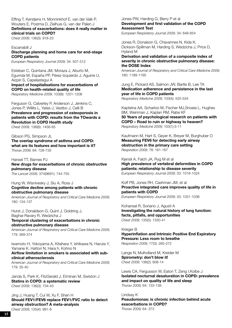Effing T, Kerstjens H, Monninkhof E, van der Valk P, Wouters E, Postma D, Zielhuis G, van der Palen J **Definitions of exacerbations: does it really matter in clinical trials on COPD?**  *Chest 2009;* 136(3): 918-23

#### Escarrabill J

#### **Discharge planning and home care for end-stage COPD patients**

*European Respiratory Journal 2009;* 34: 507-512

Esteban C, Quintana JM, Moraza J, Aburto M, Egurrola M, España PP, Pérez-Izquierdo J, Aguirre U, Aizpiri S, Capelastegui A **Impact of hospitalisations for exacerbations of COPD on health-related quality of life** *Respiratory Medicine 2009;* 103(8): 1201-1208

Ferguson G, Calverley P, Anderson J, Jenkins C, Jones P, Willits L, Yates J, Vestbo J, Celli B **Prevalence and progression of osteoporosis in patients with COPD: results from the TOwards a Revolution in COPD Health study** *Chest 2009;* 136(6): 1456-65

#### Gibson PG, Simpson JL

**The overlap syndrome of asthma and COPD: what are its features and how important is it?**  *Thorax 2009;* 64: 728-735

Hansel TT, Barnes PJ **New drugs for exacerbations of chronic obstructive pulmonary disease**

*The Lancet 2009;* 374(9691): 744-755

#### Hung W, Wisnivesky J, Siu A, Ross J **Cognitive decline among patients with chronic obstructive pulmonary disease**

*American Journal of Respiratory and Critical Care Medicine 2009;*  180: 134-137

Hurst J, Donaldson G, Quint J, Goldring J, Baghai-Ravary R, Wedzicha J **Temporal clustering of exacerbations in chronic obstructive pulmonary disease**

*American Journal of Respiratory and Critical Care Medicine 2009;* 179: 369-374

Iwamoto H, Yokoyama A, Kitahara Y, Ishikawa N, Haruta Y, Yamane K, Hattori N, Hara h, Kohno N

**Airflow limitation in smokers is associated with subclinical atherosclerosis**

*American Journal of Respiratory and Critical Care Medicine 2009;*  179: 35-40

Janda S, Park K, FitzGerald J, Etminan M, Swiston J **Statins in COPD: a systematic review**  *Chest 2009;* 136(3): 734-43

Jing J, Huang T, Cui W, Xu F, Shen H **Should FEV1/FEV6 replace FEV1/FVC ratio to detect airway obstruction? A meta-analysis**  *Chest 2009;* 135(4): 991-8

Jones PW, Harding G, Berry P et al **Development and first validation of the COPD Assessment Test** 

*European Respiratory Journal 2009;* 34: 648-654

Jones R, Donalson G, Chavannes N, Kida K, Dickson-Spillman M, Harding S, Wedzicha J, Price D, Hyland M

#### **Derivation and validation of a composite index of severity in chronic obstructive pulmonary disease: the DOSE Index**

*American Journal of Respiratory and Critical Care Medicine 2009;* 180: 1189-1195

Jung E, Pickard AS, Salmon JW, Bartle B, Lee TA **Medication adherence and persistence in the last year of life in COPD patients**

*Respiratory Medicine 2009;* 103(4): 525-534

Kapteina AA, Scharloo M, Fischer MJ,Snoeia L, Hughes BM, Weinman J, Kaplan RM, Rabe KF **50 Years of psychological research on patients with COPD – Road to ruin or highway to heaven?**  *Respiratory Medicine 2009;* 103(1):3-11

Kaufmann M, Hart S, Geyer K, Breyer M, Burghuber O **Measuring FEV6 for detecting early airway obstruction in the primary care setting**  *Respiration 2009;* 78: 161-167

Kjensli A, Falch JA, Ryg M et al **High prevalence of vertebral deformities in COPD patients: relationship to disease severity**  *European Respiratory Journal 2009;* 33: 1018-1024

Koff PB, Jones RH, Cashman JM, et al **Proactive integrated care improves quality of life in patients with COPD**  *European Respiratory Journal 2009;* 33: 1031-1038

Kohansal R, Soriano J, Agusti A **Investigating the natural history of lung function: facts, pitfalls, and opportunities** *Chest 2009;* 135(5): 1330-41

Krieger B **Hyperinflation and Intrinsic Positive End Expiratory Pressure: Less room to breathe** *Respiration 2009;* 77(3): 265-272

Lange N, Mulholland M, Kreider M **Spirometry: don't blow it!**  *Chest 2009;* 136(2): 608-14

Lewis CA, Fergusson W, Eaton T, Zeng I,Kolbe J **Isolated nocturnal desaturation in COPD: prevalence and impact on quality of life and sleep** *Thorax 2009;* 64: 133-138

Lindsay K **Pseudomonas: is chronic infection behind acute exacerbations in COPD?** *Thorax 2009;* 64: 373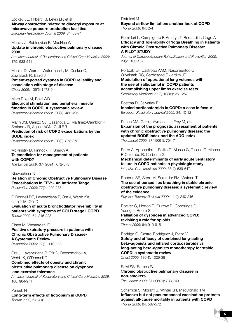Lockey JE, Hilbert TJ, Levin LP, et al **Airway obstruction related to diacetyl exposure at microwave popcorn production facilities** 

*European Respiratory Journal 2009;* 34: 63-71

#### Maclay J, Rabinovich R, MacNee W **Update in chronic obstructive pulmonary disease 2008**

*American Journal of Respiratory and Critical Care Medicine 2009;*  179: 533-541

Mahler D, Ward J, Waterman L, McCusker C, Zuwallack R, Baird J **Patient-reported dyspnea in COPD reliability and association with stage of disease** *Chest 2009;* 136(6):1473-9

Marc Roig M, Reid WD **Electrical stimulation and peripheral muscle function in COPD: A systematic review** *Respiratory Medicine 2009;* 103(4): 485-495

Marin JM, Carrizo SJ, Casanova C, Martinez-Camblor P, Soriano JB, Agusti AGN, Celli BR **Prediction of risk of COPD exacerbations by the BODE index** *Respiratory Medicine 2009;* 103(3): 373-378

McKinstry B, Pinnock H, Sheikh A **Telemedicine for management of patients with COPD?** *The Lancet 2009;* 374(9691): 672-673

Niewoehner N **Relation of Chronic Obstructive Pulmonary Disease Exacerbations in FEV1- An Intricate Tango** *Respiration 2009;* 77(2): 229-235

O'Donnell DE, Laveneziana P, Ora J, Webb KA, Lam Y-M, Ofir D **Evaluation of acute bronchodilator reversibility in patients with symptoms of GOLD stage I COPD** *Thorax 2009;* 64: 216-223

Olsen M, Westerdahl E **Positive expiratory pressure in patients with Chronic Obstructive Pulmonary Disease-A Systematic Review** *Respiration 2009;* 77(1): 110-118

Ora J, Laveneziana P, Ofir D, Deesomchok A, Webb K, O'Donnell D

#### **Combined effects of obesity and chronic obstructive pulmonary disease on dyspnoea and exercise tolerance**

*American Journal of Respiratory and Critical Care Medicine 2009;* 180: 964-971

Pareek N **Long-term effects of tiotropium in COPD** *Thorax 2009;* 64: 410

Pistolesi M **Beyond airflow limitation: another look at COPD** *Thorax 2009;* 64: 2-4

#### Pomidori L, Campigotto F, Amatya T, Bernardi L, Cogo A **Efficacy and Tolerability of Yoga Breathing in Patients with Chronic Obstructive Pulmonary Disease: A PILOT STUDY**

*Journal of Cardiopulmonary Rehabilitation and Prevention 2009;* 29(2): 133-137

Portoab EF, Castroab AAM, Nascimentoc O, Oliveiraab RC, Cardosoad F, Jardim JR **Modulation of operational lung volumes with the use of salbutamol in COPD patients accomplishing upper limbs exercise tests** *Respiratory Medicine 2009;* 103(2): 251-257

Postma D, Calverley P **Inhaled corticosteroids in COPD: a case in favour** *European Respiratory Journal 2009;* 34: 10-12

Puhan MA, Garcia-Aymerich J, Frey M, et al **Expansion of the prognostic assessment of patients with chronic obstructive pulmonary disease: the updated BODE index and the ADO index**  *The Lancet 2009;* 374(9691): 704-711

Purro A, Appendini L, Polillo C, Musso G, Taliano C, Mecca F, Colombo R, Carbone G

**Mechanical determinants of early acute ventilatory failure in COPD patients: a physiologic study**  *Intensive Care Medicine 2009;* 35(4): 639-647

Roberts SE, Stern M, Screuder FM, Watson T **The use of pursed lips breathing in stable chronic obstructive pulmonary disease: a systematic review of the evidence** 

*Physical Therapy Reviews 2009;* 14(4): 240-246

Rocker G, Horton R, Currow D, Goodridge D, Young J, Booth S **Palliation of dyspnoea in advanced COPD: revisiting a role for opioids** *Thorax 2009;* 64: 910-915

Rodrigo G, Castro-Rodriguez J, Plaza V

**Safety and efficacy of combined long-acting beta-agonists and inhaled corticosteroids vs long-acting beta-agonists monotherapy for stable COPD: a systematic review** *Chest 2009;* 136(4): 1029-38

Salvi SS, Barnes PJ C**hronic obstructive pulmonary disease in non-smokers**  *The Lancet 2009;* 374(9691): 733-743

Schembri S, Morant S, Winter JH, MacDonald TM **Influenza but not pneumococcal vaccination protects against all-cause mortality in patients with COPD** *Thorax 2009;* 64: 567-572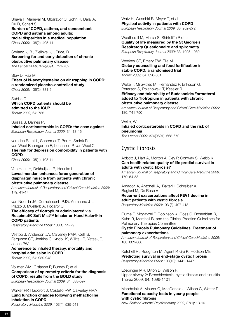Shaya F, Maneval M, Gbarayor C, Sohn K, Dalal A, Du D, Scharf S **Burden of COPD, asthma, and concomitant COPD and asthma among adults:** 

**racial disparities in a medical population**  *Chest 2009;* 136(2): 405-11

Soriano, J.B., Zielinksi, J., Price, D **Screening for and early detection of chronic obstructive pulmonary disease**  *The Lancet 2009;* 374(9691): 721-732

Stav D, Raz M

**Effect of N-acetylcysteine on air trapping in COPD: a randomized placebo-controlled study** *Chest 2009;* 136(2): 381-6

Subbe C **Which COPD patients should be admitted to the ICU?**  *Thorax 2009;* 64: 735

Suissa S, Barnes PJ **Inhaled corticosteroids in COPD: the case against**  *European Respiratory Journal 2009;* 34: 13-16

van den Bemt L, Schermer T, Bor H, Smink R, van Weel-Baumgarten E, Lucassen P, van Weel C **The risk for depression comorbidity in patients with COPD** *Chest 2009;* 135(1): 108-14

Van Hees H, Dekhuijzen R, Heunks L **Levosimendan enhances force generation of diaphragm muscle from patients with chronic obstructive pulmonary disease** 

*American Journal of Respiratory and Critical Care Medicine 2009;*  179: 41-47

van Noorda JA, Cornelissenb PJG, Aumannc J-L, Platzb J, Muellerb A, Fogarty C

**The efficacy of tiotropium administered via Respimat® Soft Mist™ Inhaler or HandiHaler® in COPD patients**

*Respiratory Medicine 2009;* 103(1): 22-29

Vestbo J, Anderson JA, Calverley PMA, Celli B, Ferguson GT, Jenkins C, Knobil K, Willits LR, Yates JC, Jones PW

**Adherence to inhaled therapy, mortality and hospital admission in COPD** *Thorax 2009;* 64: 939-943

Vollmer WM, Gíslason P, Burney P, et al **Comparison of spirometry criteria for the diagnosis of COPD: results from the BOLD study** 

*European Respiratory Journal 2009;* 34: 588-597

Walker PP, Hadcroft J, Costello RW, Calverley PMA **Lung function changes following methacholine inhalation in COPD**

*Respiratory Medicine 2009;* 103(4): 535-541

Watz H, Waschki B, Meyer T, et al **Physical activity in patients with COPD**  *European Respiratory Journal 2009;* 33: 262-272

Weatherall M, Marsh S, Shirtcliffe P et al **Quality of life measured by the St George's Respiratory Questionnaire and spirometry**  *European Respiratory Journal 2009;* 33: 1025-1030

Weekes CE, Emery PW, Elia M **Dietary counselling and food fortification in stable COPD: a randomised trial** *Thorax 2009;* 64: 326-331

Welte T, Miravitlles M, Hernandez P, Eriksson G, Peterson S, Polanowski T, Kessler R **Efficacy and tolerability of Budesonide/Formoterol added to Tiotropium in patients with chronic obstructive pulmonary disease**

*American Journal of Respiratory and Critical Care Medicine 2009;*  180: 741-750

Welte, W **Inhaled corticosteroids in COPD and the risk of pneumonia** 

*The Lancet 2009;* 374(9691): 668-670

### Cystic Fibrosis

Abbott J, Hart A, Morton A, Dey P, Conway S, Webb K **Can health related quality of life predict survival in adults with cystic fibrosis?**

*American Journal of Respiratory and Critical Care Medicine 2009;*  179: 54-58

Amadori A, Antonelli A, Balteri I, Schreiber A, Bugiani M, De Rose V

**Recurrent exacerbations affect FEV1 decline in adult patients with cystic fibrosis** *Respiratory Medicine 2009;*103 (3): 407-413

Flume P, Mogayzel P, Robinson K, Goss C, Rosenblatt R, Kuhn R, Marshall B, and the Clinical Practice Guidelines for Pulmonary Therapies Committee

#### **Cystic Fibrosis Pulmonary Guidelines: Treatment of pulmonary exacerbations**

*American Journal of Respiratory and Critical Care Medicine 2009;*  180: 802-808

Ketchell RI, Roughton M, Agent P, Gyi K, Hodson ME **Predicting survival in end-stage cystic fibrosis** *Respiratory Medicine 2009;* 103(10): 1441-1447

Loebinger MR, Bilton D, Wilson R Upper airway 2: Bronchiectasis, cystic fibrosis and sinusitis. Thorax 2009; 64: 1096-1101

Mandrsiak A, Maurer C, MacDonald J, Wilson C, Watter P **Functional capacity tests in young people with cystic fibrosis**

*New Zealand Journal Physiotherapy 2009;* 37(1): 13-16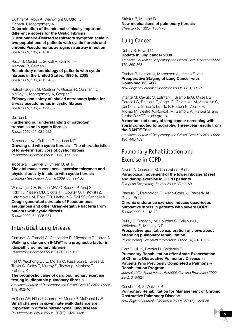Quittner A, Modi A, Wainwright C, Otto K, Kirihara J, Montgomery A

**Determination of the minimal clinically important difference scores for the Cystic Fibrosis Questionnaire-Revised respiratory symptom scale in two populations of patients with cystic fibrosis and chronic Pseudomonas aeruginosa airway infection** *Chest 2009;* 135(6): 1610-8

Razvi S, Quittell L, Sewall A, Quinton H, Marshall B, Saiman L **Respiratory microbiology of patients with cystic fibrosis in the United States, 1995 to 2005** *Chest 2009;* 136(6): 1554-60

Retsch-Bogart G, Quittner A, Gibson R, Oermann C, McCoy K, Montgomery A, Cooper P **Efficacy and safety of inhaled aztreonam lysine for airway pseudomonas in cystic fibrosis** *Chest 2009;* 135(5): 1223-32

#### Saiman L

#### **Furthering our understanding of pathogen transmission in cystic fibrosis** *Thorax 2009;* 64: 921-922

Simmonds NJ, Cullinan P, Hodson ME **Growing old with cystic fibrosis – The characteristics of long-term survivors of cystic fibrosis** *Respiratory Medicine 2009;* 103(4): 629-635

Troosters T, Langer D, Vrijsen B, et al **Skeletal muscle weakness, exercise tolerance and physical activity in adults with cystic fibrosis** *European Respiratory Journal 2009;* 33: 99-106

Wainwright CE, France MW, O'Rourke P, Anuj S, Kidd TJ, Nissen MD, Sloots TP, Coulter C, Ristovski Z, Hargreaves M, Rose BR, Harbour C, Bell SC, Fennelly K **Cough-generated aerosols of Pseudomonas aeruginosa and other Gram-negative bacteria from patients with cystic fibrosis**

*Thorax 2009;* 64: 926-931

### Interstitial Lung Disease

Caminati A, Bianchi A, Cassandro R, Mirenda MR, Harari S **Walking distance on 6-MWT is a prognostic factor in idiopathic pulmonary fibrosis**

*Respiratory Medicine 2009;* 103(1): 117-123

Fell C, Xiaohong Liu L, Motika C, Kazerooni E, Gross B, Travis W, Colby T, Murray S, Toews g, Martinez F, Flaherty K

#### **The prognostic value of cardiopulmonary exercise testing in idiopathic pulmonary fibrosis**

*American Journal of Respiratory and Critical Care Medicine 2009;*  179: 402-407

Holland AE, Hill CJ, Conron M, Munro P, McDonald CF **Small changes in six-minute walk distance are important in diffuse parenchymal lung disease** *Respiratory Medicine 2009;* 103(10): 1430-1435

Strieter R, Mehrad B **New mechanisms of pulmonary fibrosis**  *Chest 2009;* 136(5): 1364-70

### Lung Cancer

#### Dubey S, Powell C **Update in lung cancer 2008** *American Journal of Respiratory and Critical Care Medicine 2009;*  179: 860-868

Fischer B, Lassen U, Mortensen J, Larsen S, et al **Preoperative Staging of Lung Cancer with Combined PET–CT**

*New England Journal of Medicine 2009;* 361(1): 32-39

Infante M, Cavuto S, Lutman F, Brambilla G, Chiesa G, Ceresoli G, Passera E, Angeli E, Chiarenza M, Aranzulla G, Cariboni U, Errico V, Inzirillo F, Bottoni E, Voulaz E, Alloisio M, Destro A, Roncalli M, Santoro A, Ravasi G, and for the DANTE study group

#### **A randomized study of lung cancer screening with spiral computed tomography: Three-year results from the DANTE Trial**

*American Journal of Respiratory and Critical Care Medicine 2009;*  180: 445-453

### Pulmonary Rehabilitation and Exercise in COPD

#### Aliverti A, Quaranta M, Chakrabarti B et al **Paradoxical movement of the lower ribcage at rest and during exercise in COPD patients**

*European Respiratory Journal 2009;* 33: 49-60

Barreiro E, Rabinovich R, Marin-Corral J, Barberà JA, Gea J, Roca J

**Chronic endurance exercise induces quadriceps nitrosative stress in patients with severe COPD**  *Thorax 2009;* 64: 13-19

Bulley C, Donaghy M, Howden S, Salisbury L, Whiteford S, Mackay A E

**Prospective qualitative exploration of views about attending pulmonary rehabilitation** *Physiotherapy Research International 2009;* 14(3):181-192

Carr S, Hill K, Brooks D, Goldstein R

**Pulmonary Rehabilitation after Acute Exacerbation of Chronic Obstructive Pulmonary Disease in Patients Who Previously Completed a Pulmonary Rehabilitation Program** 

*Journal of Cardiopulmonary Rehabilitation and Prevention 2009;* 29(5): 318-324

#### Casaburi R, ZuWallack R **Pulmonary Rehabilitation for Management of Chronic Obstructive Pulmonary Disease**

*New England Journal of Medicine 2009;* 360(13): 1329-35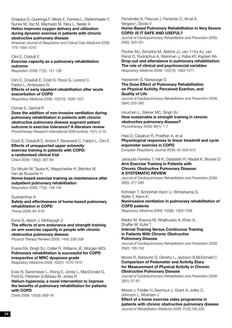Chiappa G, Queirioga F, Meda E, Ferreira L, Diefenthaeler F, Nunes M, Vaz M, Machado M, Nery L, Neder A **Heliox improves oxygen delivery and utilization during dynamic exercise in patients with chronic obstructive pulmonary disease**

*American Journal of Respiratory and Critical Care Medicine 2009;*  179: 1004-1010

#### Clini E, Cristulli E

### **Exercise capacity as a pulmonary rehabilitation outcome**

*Respiration 2009;* 77(2): 121-128

Clini E, Crisafulli E, Costi S, Rossi G, Lorenzi C, Fabbri L, Ambrosino N **Effects of early inpatient rehabilitation after acute exacerbation of COPD**

*Respiratory Medicine 2009;* 103(10): 1526-1531

#### Corner E, Garrod R

**Does the addition of non-invasive ventilation during pulmonary rehabilitation in patients with chronic obstructive pulmonary disease augment patient outcome in exercise tolerance? A literature review**  *Physiotherapy Research International 2009 (online);* 15(1): 5-15

Costi S, Crisafulli E, Antoni F, Beneventi C, Fabbri L, Clini E **Effects of unsupported upper extremity exercise training in patients with COPD: a randomized clinical trial** *Chest 2009;* 136(2): 387-95

Du Moulin M, Taube K, Wegscheider K, Behnke M, Van de Bussche H

**Home-based exercise training as maintenance after outpatient pulmonary rehabilitation** *Respiration 2009;* 77(2): 139-145

Dushianthan A **Safety and effectiveness of home-based pulmonary rehabilitation in COPD** *Thorax 2009;* 64: 619

Ennis S, Alison J, McKeough Z **The effects of arm endurance and strength training** 

**on arm exercise capacity in people with chronic obstructive pulmonary disease** *Physical Therapy Reviews 2009;* 14(4): 226-239

Evans RA, Singh SJ, Collier R, Williams JE, Morgan MDL **Pulmonary rehabilitation is successful for COPD irrespective of MRC dyspnoea grade** *Respiratory Medicine 2009;* 103(7): 1070-1075

Eves N, Sandmeyer L, Wong E, Jones L, MacDonald G, Ford G, Petersen S,Bibeau M, Jones R

**Helium-hyperoxia: a novel intervention to improve the benefits of pulmonary rehabilitation for patients with COPD** 

*Chest 2009;* 135(3): 609-18

Fernández A, Pascual J, Ferrando C, Arnal A, Vergara I, Sevila V **Home-Based Pulmonary Rehabilitation in Very Severe** 

# **COPD: IS IT SAFE AND USEFUL?**

*Journal of Cardiopulmonary Rehabilitation and Prevention 2009;*  29(5): 325-331

Fischer MJ, Scharloo M, Abbink JJ, van 't Hul AJ, van Ranst D, Rudolphus A, Weinman J, Rabe KF, Kaptein AA **Drop-out and attendance in pulmonary rehabilitation: The role of clinical and psychosocial variables** *Respiratory Medicine 2009;* 103(10): 1564-1571

#### Hassanein S, Narsavage G

**The Dose Effect of Pulmonary Rehabilitation on Physical Activity, Perceived Exertion, and Quality of Life** 

*Journal of Cardiopulmonary Rehabilitation and Prevention 2009;*  29(4): 255-260

Houchen L, Steiner MC, Singh SJ **How sustainable is strength training in chronic obstructive pulmonary disease?** *Physiotherapy 2009;* 95(1): 1-7

Hsia D, Casaburi R, Pradhan A, et al **Physiological responses to linear treadmill and cycle ergometer exercise in COPD** *European Respiratory Journal 2009;* 34: 605-615

Janaudis-Ferreira T, Hill K, Goldstein R, Wadell K, Brooks D **Arm Exercise Training in Patients with Chronic Obstructive Pulmonary Disease: A SYSTEMATIC REVIEW** 

*Journal of Cardiopulmonary Rehabilitation and Prevention 2009;*  29(5): 277-283

Köhnlein T, Schönheit-Kenn U, Winterkamp S, Welte T, Kenn K

#### **Noninvasive ventilation in pulmonary rehabilitation of COPD patients**

*Respiratory Medicine 2009;* 103(9): 1329-1336

Mador M, Krawza M, Alhajhusian A, Khan A, Shaffer M, Kufel T

#### **Interval Training Versus Continuous Training in Patients With Chronic Obstructive Pulmonary Disease**

*Journal of Cardiopulmonary Rehabilitation and Prevention 2009;*  29(2): 126-132

#### Moore R, Berlowitz D, Denehy L, Jackson B,McDonald C **Comparison of Pedometer and Activity Diary for Measurement of Physical Activity in Chronic Obstructive Pulmonary Disease**

*Journal of Cardiopulmonary Rehabilitation and Prevention 2009;*  29(1): 57-61

Moore J, Fiddler H, Seymour J, Grant A, Jolley C, Johnson L, Moxham J

**Effect of a home exercise video programme in patients with chronic obstructive pulmonary disease** *Journal of Rehabilitation Medicine 2009;* 41(3):195-200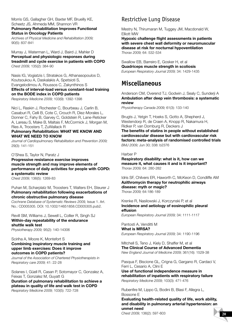Morris GS, Gallagher GH, Baxter MF, Brueilly KE, Scheetz JS, Ahmeda MM, Shannon VR **Pulmonary Rehabilitation Improves Functional** 

**Status in Oncology Patients** 

*Archives of Physical Medicine and Rehabilitation 2009;* 90(5): 837-841

Murray J, Waterman L, Ward J, Baird J, Mahler D **Perceptual and physiologic responses during treadmill and cycle exercise in patients with COPD**  *Chest 2009;* 135(2): 384-90

Nasis IG, Vogiatzis I, Stratakos G, Athanasopoulos D, Koutsoukou A, Daskalakis A, Spetsioti S, Evangelodimou A, Roussos C, Zakynthinos S **Effects of interval-load versus constant-load training on the BODE index in COPD patients** *Respiratory Medicine 2009;* 103(9): 1392-1398

Nici L, Raskin J, Rochester C, Bourbeau J, Carlin B, Casaburi R, Celli B, Cote C, Crouch R, Diez-Morales L, Donner C, Fahy B, Garvey C, Goldstein R, Lane-Reticker A, Lareau S, Make B, Maltais F, McCormick J, Morgan M, Ries A, Troosters T, ZuWallack R

#### **Pulmonary Rehabilitation: WHAT WE KNOW AND WHAT WE NEED TO KNOW**

*Journal of Cardiopulmonary Rehabilitation and Prevention 2009;*  29(3): 141-151

O'Shea S, Taylor N, Paratz J

**Progressive resistance exercise improves muscle strength and may improve elements of performance of daily activities for people with COPD: a systematic review**

*Chest 2009;* 136(5): 1269-83

#### Puhan M, Scharplatz M, Troosters T, Walters EH, Steurer J **Pulmonary rehabilitation following exacerbations of chronic obstructive pulmonary disease**

*Cochrane Database of Systematic Reviews 2009,* Issue 1. Art. No.: CD005305. DOI: 10.1002/14651858.CD005305.pub2.

Revill SM, Williams J, Sewell L, Collier R, Singh SJ **Within-day repeatability of the endurance shuttle walk test**

*Physiotherapy 2009;* 95(2): 140-14306

#### Sciriha A, Moore K, Montefort S **Combining inspiratory muscle training and upper limb exercises: Does it improve outcomes in COPD patients?**

*Journal of the Association of Chartered Physiotherapists in Respiratory care 2009;* 41: 22-28

Solanes I, Güell R, Casan P, Sotomayor C, Gonzalez A, Feixas T, Gonzalez M, Guyatt G

**Duration of pulmonary rehabilitation to achieve a plateau in quality of life and walk test in COPD** *Respiratory Medicine 2009;* 103(5): 722-728

### Restrictive Lung Disease

Mestry N, Thirumaran M, Tuggey JM, Macdonald W, Elliott MW

**Hypoxic challenge flight assessments in patients with severe chest wall deformity or neuromuscular disease at risk for nocturnal hypoventilation** *Thorax 2009;* 64: 532-534

Swallow EB, Barreiro E, Gosker H, et al **Quadriceps muscle strength in scoliosis** *European Respiratory Journal 2009;* 34: 1429-1435

### **Miscellaneous**

Anderson CM, Overend TJ, Godwin J, Sealy C, Sunderji A **Ambulation after deep vein thrombosis: a systematic review**

*Physiotherapy Canada 2009;* 61(3): 133-140

Brugts J, Yetgin T, Hoeks S, Gotto A, Shepherd J, Westendorp R, de Craen A, Knopp R, Nakamura H, Ridker P, van Domburg R, Deckers J

**The benefits of statins in people without established cardiovascular disease but with cardiovascular risk factors: meta-analysis of randomised controlled trials**  *BMJ 2009;* Jun 30; 338: b2376

#### Harber P

**Respiratory disability: what is it, how can we measure it, what causes it and is it important?**  *Thorax 2009;* 64: 280-282

Idris SF, Chilvers ER, Haworth C, McKeon D, Condliffe AM **Azithromycin therapy for neutrophilic airways disease: myth or magic?** *Thorax 2009;* 64:186-189

Krenke R, Nasilowski J, Korczynski P, et al **Incidence and aetiology of eosinophilic pleural effusion**

*European Respiratory Journal 2009;* 34: 1111-1117

Pantosti A, Venditti M **What is MRSA?**  *European Respiratory Journal 2009;* 34: 1190-1196

Mitchell S, Teno J, Kiely D, Shaffer M, et al **The Clinical Course of Advanced Dementia**  *New England Journal of Medicine 2009;* 361(16): 1529-38

Pasqua F, Biscione GL, Crigna G, Gargano R, Cardaci V, Ferri L, Cesario A, Clini E

**Use of functional independence measure in rehabilitation of inpatients with respiratory failure** *Respiratory Medicine 2009;* 103(3): 471-476

Rubenfire M, Lippo G, Bodini B, Blasi F, Allegra L, Bossone E

**Evaluating health-related quality of life, work ability, and disability in pulmonary arterial hypertension: an unmet need**

*Chest 2009;* 136(2): 597-603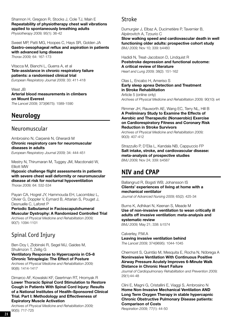Shannon H, Gregson R, Stocks J, Cole TJ, Main E **Repeatability of physiotherapy chest wall vibrations applied to spontaneously breathing adults** *Physiotherapy 2009;* 95(1): 36-42

Sweet MP, Patti MG, Hoopes C, Hays SR, Golden JA **Gastro-oesophageal reflux and aspiration in patients with advanced lung disease** *Thorax 2009;* 64: 167-173

Vitacca M, Bianchi L, Guerra A, et al **Tele-assistance in chronic respiratory failure patients: a randomised clinical trial**  *European Respiratory Journal 2009;* 33: 411-418

West JB **Arterial blood measurements in climbers on Mount Everest**  *The Lancet 2009;* 373(9675): 1589-1590

# **Neurology**

### Neuromuscular

Ambrosino N, Carpenè N, Gherardi M **Chronic respiratory care for neuromuscular diseases in adults** *European Respiratory Journal 2009;* 34: 444-451

Mestry N, Thirumaran M, Tuggey JM, Macdonald W,

Elliott MW **Hypoxic challenge flight assessments in patients with severe chest wall deformity or neuromuscular disease at risk for nocturnal hypoventilation** *Thorax 2009;* 64: 532-534

Payan CA, Hogrel JY, Hammouda EH, Lacomblez L, Olivier G, Doppler V, Eymard B, Attarian S, Pouget J, Desnuelle C, Laforet P

**Periodic Salbutamol in Facioscapulohumeral Muscular Dystrophy: A Randomized Controlled Trial** *Archives of Physical Medicine and Rehabilitation 2009;*

90(7): 1094-1101

### Spinal Cord Injury

Ben-Doy I, Zlobinski R, Segel MJ, Gaides M, Shulimzon T, Zeilig G **Ventilatory Response to Hypercapnia in C5–8 Chronic Tetraplegia: The Effect of Posture** *Archives of Physical Medicine and Rehabilitation 2009;* 90(8): 1414-1417

Dimarco AF, Kowalski KF, Geertman RT, Hromyak R **Lower Thoracic Spinal Cord Stimulation to Restore Cough in Patients With Spinal Cord Injury: Results of a National Institutes of Health–Sponsored Clinical Trial. Part I: Methodology and Effectiveness of Expiratory Muscle Activation**

*Archives of Physical Medicine and Rehabilitation 2009;* 90(5): 717-725

### Stroke

Dumurgier J, Elbaz A, Ducimetière P, Tavernier B, Alpérovitch A, Tzourio C

**Slow walking speed and cardiovascular death in well functioning older adults: prospective cohort study**  *BMJ 2009;* Nov 10; 339: b4460

Hadidi N, Treat-Jacobson D, Lindquist R **Poststroke depression and functional outcome: A critical review of literature** *Heart and Lung 2009;* 38(2): 151-162

Olas L, Encabo H, Ameriso S **Early sleep apnea Detection and Treatment in Stroke Rehabilitation**

Article 5 (online only) *Archives of Physical Medicine and Rehabilitation 2009;* 90(10): e4

Rimmer JH, Rauworth AE, Wang EC, Terry NL, Hill B **A Preliminary Study to Examine the Effects of Aerobic and Therapeutic (Nonaerobic) Exercise on Cardiorespiratory Fitness and Coronary Risk Reduction in Stroke Survivors**

*Archives of Physical Medicine and Rehabilitation 2009;* 90(3): 407-412

Strazzullo P, D'Elia L, Kandala NB, Cappuccio FP **Salt intake, stroke, and cardiovascular disease: meta-analysis of prospective studies**  *BMJ 2009;* Nov 24; 339: b4567

# **NIV and CPAP**

Ballangrud R, Bogsti WB; Johansson IS **Clients' experiences of living at home with a mechanical ventilator** *Journal of Advanced Nursing 2009;* 65(2): 425-34

Burns K, Adhikari N, Keenan S, Meade M **Use of non-invasive ventilation to wean critically ill adults off invasive ventilation: meta-analysis and systematic review**  *BMJ 2009;* May 21; 338: b1574

Calverley, P.M.A **Leaving invasive ventilation behind**  *The Lancet 2009;* 374(9695): 1044-1045

Chermont S, Quintão M, Mesquita E, Rocha N, Nóbrega A **Noninvasive Ventilation With Continuous Positive Airway Pressure Acutely Improves 6-Minute Walk Distance in Chronic Heart Failure**

*Journal of Cardiopulmonary Rehabilitation and Prevention 2009;*  29(1):44-48

Clini E, Magni G, Cristallini E, Viaggi S, Ambrosino N **Home Non-Invasive Mechanical Ventilation AND Long Term Oxygen Therapy in stable hypercapnic Chronic Obstructive Pulmonary Disease patients: Comparison of Costs**

*Respiration 2009;* 77(1): 44-50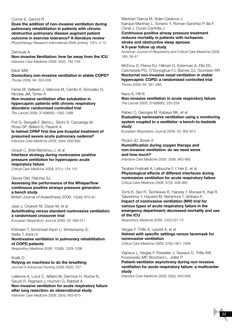#### Corner E, Garrod R

**Does the addition of non-invasive ventilation during pulmonary rehabilitation in patients with chronic obstructive pulmonary disease augment patient outcome in exercise tolerance? A literature review** *Physiotherapy Research International 2009 (online);* 15(1): 5-15

Demoule A

**Non-invasive Ventilation: how far away from the ICU**  *Intensive Care Medicine 2009;* 35(2): 192-194

#### Elliott MW

**Domiciliary non-invasive ventilation in stable COPD?**  *Thorax 2009;* 64: 553-556

Ferrer M, Sellarés J, Valencia M, Carrillo A, Gonzalez G, Nicolas JM, Torres A

**Non-invasive ventilation after extubation in hypercapnic patients with chronic respiratory disorders: randomised controlled trial** *The Lancet 2009;* 374(9695): 1082-1088

Foti G, Sangalli F, Berra L, Sironi S, Cazzaniga M, Rossi GP, Bellani G, Pesenti A **Is helmet CPAP first line pre-hospital treatment of** 

**presumed severe acute pulmonary oedema?**  *Intensive Care Medicine 2009;* 35(4): 656-662

Girault C, Briel Benichou J, et al

**Interface strategy during noninvasive positive pressure ventilation for hypercapnic acute respiratory failure** *Critical Care Medicine 2009;* 37(1): 124-131

Glover GW, Fletcher SJ

**Assessing the performance of the Whisperflow continuous positive airways pressure generator: a bench study**  British Journal of Anaesthesia 2009; 102(6): 875–81

Jaye J, Chatwin M, Dayer M, et al **Autotitrating versus standard noninvasive ventilation: a randomised crossover trial**  *European Respiratory Journal 2009;* 33: 566-571

Köhnlein T, Schönheit-Kenn U, Winterkamp S, Welte T, Kenn K **Noninvasive ventilation in pulmonary rehabilitation of COPD patients** *Respiratory Medicine 2009;* 103(9): 1329-1336

Kralik D **Relying on machines to do the breathing** *Journal of Advanced Nursing 2009;* 65(2): 237

Lefebvre A, Lorut C, Alifano M, Dermine H, Roche N, Gauzit R, Regnard J, Huchon G, Rabbat A **Non-invasive ventilation for acute respiratory failure after lung resection: an observational study**  *Intensive Care Medicine 2009;* 35(4): 663-670

Martinez-Garcia M, Soler-Cataluna J, Ejarque-Martinez L, Soriano Y, Roman-Sanchez P, Illa F, Canal J, Duran-Cantolla J

**Continuous positive airway pressure treatment reduces mortality in patients with ischaemic stroke and obstructive sleep apnoea: A 5-year follow up study**

*American Journal of Respiratory and Critical Care Medicine 2009;*  180: 36-41

McEvoy D, Pierce RJ, Hillman D, Esterman A, Ellis EE, Catcheside PG, O'Donoghue FJ, Barnes DJ, Grunstein RR **Nocturnal non-invasive nasal ventilation in stable hypercapnic COPD: a randomised controlled trial** *Thorax 2009;* 64: 561-566

Nava S, Hill N

**Non-invasive ventilation in acute respiratory failure**  *The Lancet 2009;* 374(9685): 250-259

Rabec C, Georges M, Kabeya NK, et al **Evaluating noninvasive ventilation using a monitoring system coupled to a ventilator: a bench-to-bedside study**

*European Respiratory Journal 2009;* 34: 902-913

Ricard JD, Boyer A

**Humidification during oxygen therapy and non-invasive ventilation: do we need some and how much?**

*Intensive Care Medicine 2009;* 35(6): 963-965

Tarabini Fraticelli A, Lellouche F, L'Her E, et al **Physiological effects of different interfaces during noninvasive ventilation for acute respiratory failure** *Critical Care Medicine 2009;* 37(3): 939-945

Tomii K, Seo R, Tachikawa R, Harada Y, Murase K, Kaji R, Takeshima Y, Hayashi M, Nishimura T, Ishihara K **Impact of noninvasive ventilation (NIV) trial for various types of acute respiratory failure in the emergency department; decreased mortality and use of the ICU**

*Respiratory Medicine 2009;* 103(1):67-73

Vargas F, Thille A, Lyazidi A, et al **Helmet with specific settings versus facemask for noninvasive ventilation** *Critical Care Medicine 2009;* 37(6):1921-1928

Vignaux L, Vargas F, Roeseler J, Tassaux D, Thille AW, Kossowsky MP, Brochard L, Jolliet P

**Patient–ventilator asynchrony during non-invasive ventilation for acute respiratory failure: a multicenter study**

*Intensive Care Medicine 2009;* 35(5): 840-846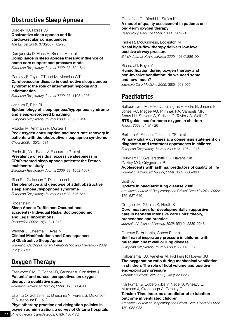# **Obstructive Sleep Apnoea**

Bradley TD, Floras JS **Obstructive sleep apnoea and its cardiovascular consequences** *The Lancet 2009;* 373(9657): 82-93

Damjanovic D, Fluck A, Bremer H, et al **Compliance in sleep apnoea therapy: influence of home care support and pressure mode**  *European Respiratory Journal 2009;* 33: 804-811

#### Garvey JF, Taylor CT and McNicholas WT **Cardiovascular disease in obstructive sleep apnoea syndrome: the role of intermittent hypoxia and inflammation**

*European Respiratory Journal 2009;* 33: 1195-1205

Jennum P, Riha RL **Epidemiology of sleep apnoea/hypopnoea syndrome and sleep-disordered breathing** *European Respiratory Journal 2009;* 33: 907-914

### Maeder M, Ammann P, Münzer T

**Peak oxygen consumption and heart rate recovery in patients with the obstructive sleep apnea syndrome**  *Chest 2009;* 135(2): 584

#### Pépin JL, Viot-Blanc V, Escourrou P, et al

**Prevalence of residual excessive sleepiness in CPAP-treated sleep apnoea patients: the French multicentre study**

*European Respiratory Journal 2009;* 33: 1062-1067

Riha RL, Gislasson T, Diefenbach K **The phenotype and genotype of adult obstructive sleep apnoea /hypopnoea syndrome** *European Respiratory Journal 2009;* 33: 646-655

#### Rodenstein P

**Sleep Apnea: Traffic and Occupational accidents- Individual Risks, Socioeconomic and Legal Implications** *Respiration 2009;* 78(3): 241-248

#### Wenner J, Cheema R, Ayas N **Clinical Manifestations and Consequences of Obstructive Sleep Apnea**

*Journal of Cardiopulmonary Rehabilitation and Prevention 2009;*  29(2): 76-83

# **Oxygen Therapy**

Eastwood GM, O'Connell B, Gardner A, Considine J **Patients' and nurses' perspectives on oxygen therapy: a qualitative study**

*Journal of Advanced Nursing 2009;* 65(3): 634-41

Espiritu O, Schaeffer E, Bhesania N, Perera S, Dickinson E, Nussbaum E, Lai D

**Physiotherapy practice and delegation policies in oxygen administration: a survey of Ontario hospitals** *Physiotherapy Canada 2009;* 61(3): 163-172 **231**

#### Gustafson T, Löfdahl K, Ström K **A model of quality assessment in patients on l ong-term oxygen therapy**

*Respiratory Medicine 2009;* 103(1): 209-215

Parke R, McGuinness, Eccleston M **Nasal high-flow therapy delivers low level positive airway pressure** *British Journal of Anaesthesia 2009;* 103(6):886–90

Ricard JD, Boyer A **Humidification during oxygen therapy and non-invasive ventilation: do we need some and how much?** *Intensive Care Medicine 2009;* 35(6): 963-965

# **Paediatrics**

Balfour-Lynn IM, Field DJ, Gringras P, Hicks B, Jardine E, Jones RC, Magee AG, Primhak RA, Samuels MP, Shaw NJ, Stevens S, Sullivan C, Taylor JA, Wallis C **BTS guidelines for home oxygen in children** *Thorax 2009;* 64: ii1-ii26

Barbato A, Frischer T, Kuehni CE, et al **Primary ciliary dyskinesia: a consensus statement on diagnostic and treatment approaches in children** *European Respiratory Journal 2009;* 34: 1264-1276

Burkhart PV, Svavarsdottir EK, Rayens MK, Oakley MG, Orlygsdottir B **Adolescents with asthma: predictors of quality of life** *Journal of Advanced Nursing 2009;* 65(4): 860–866

#### Bush A

179: 637-649

**Update in paediatric lung disease 2008** *American Journal of Respiratory and Critical Care Medicine 2009;* 

Coughlin M, Gibbins S, Hoath S

**Core measures for developmentally supportive care in neonatal intensive care units: theory, precedence and practice** *Journal of Advanced Nursing 2009;* 65(10): 2239–2248

#### Fauroux B, Aubertin, Cohen E, et al **Sniff nasal inspiratory pressure in children with muscular, chest wall or lung disease** *European Respiratory Journal 2009;* 33: 113-117

#### Halbertsma FJJ, Vaneker M, Pickkers P, Hoeven JG **The oxygenation ratio during mechanical ventilation in children: The role of tidal volume and positive end-expiratory pressure**

*Journal of Critical Care 2009;* 24(2): 220-226

Harikumar G, Egberongbe Y, Nadel S, Wheatly E, Moxham J, Greenough A, Rafferty G **Tension-Time Index as a predictor of extubation outcome in ventilated children**

*American Journal of Respiratory and Critical Care Medicine 2009;*  180: 982-988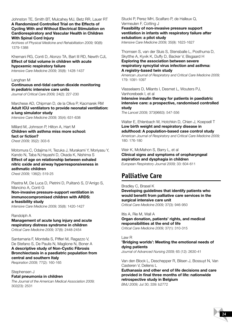Johnston TE, Smith BT, Mulcahey MJ, Betz RR, Lauer RT **A Randomized Controlled Trial on the Effects of Cycling With and Without Electrical Stimulation on Cardiorespiratory and Vascular Health in Children With Spinal Cord Injury**

*Archives of Physical Medicine and Rehabilitation 2009;* 90(8): 1379-1388

#### Khemani RG, Conti D, Alonzo TA, Bart III RD, Newth CJL **Effect of tidal volume in children with acute hypoxemic respiratory failure**

*Intensive Care Medicine 2009;* 35(8): 1428-1437

#### Langhan M **Continuous end-tidal carbon dioxide monitoring in pediatric intensive care units**

*Journal of Critical Care 2009;* 24(2): 227-230

Marchese AD, Chipman D, de la Oliva P, Kacmarek RM **Adult ICU ventilators to provide neonatal ventilation: a lung simulator study**

*Intensive Care Medicine 2009;* 35(4): 631-638

#### Millard M, Johnson P, Hilton A, Hart M **Children with asthma miss more school: fact or fiction?**  *Chest 2009;* 35(2): 303-6

Motomura C, Odajima H, Tezuka J, Murakami Y, Moriyasu Y, Kando N, Taba N,Hayashi D, Okada K, Nishima S **Effect of age on relationship between exhaled nitric oxide and airway hyperresponsiveness in asthmatic children**  *Chest 2009;* 136(2): 519-25

Piastra M, De Luca D, Pietrini D, Pulitanò S, D'Arrigo S, Mancino A, Conti G

#### **Non-invasive pressure-support ventilation in immunocompromised children with ARDS: a feasibility study**

*Intensive Care Medicine 2009;* 35(8): 1420-1427

#### Randolph A **Management of acute lung injury and acute respiratory distress syndrome in children** *Critical Care Medicine 2009;* 37(8): 2448-2454

Santamaria F, Montella S, Pifferi M, Ragazzo V, De Stefano S, De Paulis N, Maglione N, Boner A **A descriptive study of Non-Cystic Fibrosis Bronchiectasis in a paediatric population from central and southern Italy**

*Respiration 2009;* 77(2): 160-165

#### Stephensen J **Fatal pneumonia in children** *The Journal of the American Medical Association 2009;*

302(23): 2531

Stucki P, Perez MH, Scalfaro P, de Halleux Q, Vermeulen F, Cotting J **Feasibility of non-invasive pressure support ventilation in infants with respiratory failure after extubation: a pilot study**

*Intensive Care Medicine 2009;* 35(9): 1623-1627

#### Thomsen S, van der Sluis S, Stensballe L, Posthuma D, Skytthe A, Kyvik K, Duffy D, Backer V, Bisgaard H **Exploring the association between severe respiratory syncytial virus infection and asthma: A registry-based twin study**

*American Journal of Respiratory and Critical Care Medicine 2009;*  179: 1091-1097

Vlasselaers D, Milants I, Desmet L, Wouters PJ, Vanhorebeek I, et al

**Intensive insulin therapy for patients in paediatric intensive care: a prospective, randomised controlled study**

*The Lancet 2009;* 373(9663): 547-556

Walter E, Ehlenbach W, Hotchkin D, Chien J, Koepsell T **Low birth weight and respiratory disease in adulthood: A population-based case control study** *American Journal of Respiratory and Critical Care Medicine 2009;*  180: 176-180

Weir K, McMahon S, Barry L, et al **Clinical signs and symptoms of oropharyngeal aspiration and dysphagia in children**  *European Respiratory Journal 2009;* 33: 604-611

# **Palliative Care**

Bradley C, Brasel K **Developing guidelines that identify patients who would benefit from palliative care services in the surgical intensive care unit** *Critical Care Medicine 2009;* 37(3): 946-950

Iltis A, Rie M, Wall A **Organ donation, patients' rights, and medical responsibilities at the end of life** *Critical Care Medicine 2009;* 37(1): 310-315

#### Law R

#### **'Bridging worlds': Meeting the emotional needs of dying patients**

*Journal of Advanced Nursing 2009;* 65 (12): 2630-41

Van den Block L, Deschepper R, Bilsen J, Bossuyt N, Van Casteren V, Deliens L

**Euthanasia and other end of life decisions and care provided in final three months of life: nationwide retrospective study in Belgium** 

*BMJ 2009;* Jul 30; 339: b2772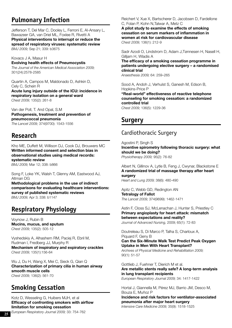# **Pulmonary Infection**

Jefferson T, Del Mar C, Dooley L, Ferroni E, Al-Ansary L, Bawazeer GA, van Driel ML, Foxlee R, Rivetti A **Physical interventions to interrupt or reduce the spread of respiratory viruses: systematic review**  *BMJ 2009;* Sep 21; 339: b3675

Kovacs J A, Masur H **Evolving health effects of Pneumocystis**  *The Journal of the American Medical Association 2009;* 301(24):2578-2585

Quartin A, Campos M, Maldonado D, Ashkin D, Cely C, Schein R **Acute lung injury outside of the ICU: incidence in respiratory isolation on a general ward**

*Chest 2009;* 135(2): 261-8

Van der Poll, T. And Opal, S.M **Pathogenesis, treatment and prevention of pneumococcal pneumonia** *The Lancet 2009;* 374(9700): 1543-1556

# **Research**

Kho ME, Duffett M, Willison DJ, Cook DJ, Brouwers MC **Written informed consent and selection bias in observational studies using medical records: systematic review** 

*BMJ 2009;* Mar 12; 338: b866

Song F, Loke YK, Walsh T, Glenny AM, Eastwood AJ, Altman DG

**Methodological problems in the use of indirect comparisons for evaluating healthcare interventions: survey of published systematic reviews**  *BMJ 2009;* Apr 3; 338: b1147

# **Respiratory Physiology**

Voynow J, Rubin B **Mucins, mucus, and sputum**  *Chest 2009;* 135(2): 505-12

Vyshedskiy A, Alhashem RM, Paciej R, Ebril M, Rudman I, Fredberg JJ, Murphy R **Mechanism of inspiratory and expiratory crackles** *Chest 2009;* 135(1):156-64

Wu J, Du H, Wang X, Mei C, Sieck G, Qian Q **Characterization of primary cilia in human airway smooth muscle cells**  *Chest 2009;* 136(2): 561-70

# **Smoking Cessation**

Kotz D, Wesseling G, Huibers MJH, et al **Efficacy of confronting smokers with airflow limitation for smoking cessation**  *European Respiratory Journal 2009;* 33: 754-762

Reichert V, Xue X, Bartscherer D, Jacobsen D, Fardellone C, Folan P, Kohn N,Talwar A, Metz C

**A pilot study to examine the effects of smoking cessation on serum markers of inflammation in women at risk for cardiovascular disease**  *Chest 2009;* 136(1): 212-9

Sadr Azodi O, Lindstrom D, Adam J,Tønnesen H, Nasell H, Gilljam H, Wladis A

**The efficacy of a smoking cessation programme in patients undergoing elective surgery – a randomised clinical trial**  *Anaesthesia 2009;* 64: 259–265

Sood A, Andoh J, Verhulst S, Ganesh M, Edson B, Hopkins-Price P **"Real-world" effectiveness of reactive telephone counseling for smoking cessation: a randomized controlled trial** *Chest 2009;* 136(5): 1229-36

**Surgery**

### Cardiothoracic Surgery

Agostini P, Singh S **Incentive spirometry following thoracic surgery: what should we be doing?** *Physiotherapy 2009;* 95(2): 76-82

Albert N, Gillinov A, Lytle B, Feng J, Cwynar, Blackstone E **A randomized trial of massage therapy after heart surgery**  *Heart and Lung 2009;* 38(6): 480-490

Apitz C, Webb GD, Redington AN **Tetralogy of Fallot** *The Lancet 2009;* 374(9699): 1462-1471

Astin F, Closs SJ, McLenachan J, Hunter S, Priestley C **Primary angioplasty for heart attack: mismatch between expectations and reality?**  *Journal of Advanced Nursing,* 2009; 65(1): 72-83

Doutreleau S, Di Marco P, Talha S, Charloux A, Piquard F, Geny B

**Can the Six-Minute Walk Test Predict Peak Oxygen Uptake in Men With Heart Transplant?** *Archives of Physical Medicine and Rehabilitation 2009;*

90(1): 51-57

Gottlieb J, Fuehner T, Dierich M et al. **Are metallic stents really safe? A long-term analysis in lung transplant recipients** *European Respiratory Journal 2009;* 34: 1417-1422

Hortal J, Giannella M, Pérez MJ, Barrio JM, Desco M, Bouza E, Muñoz P

**Incidence and risk factors for ventilator-associated pneumonia after major heart surgery** *Intensive Care Medicine 2009;* 35(9): 1518-1525